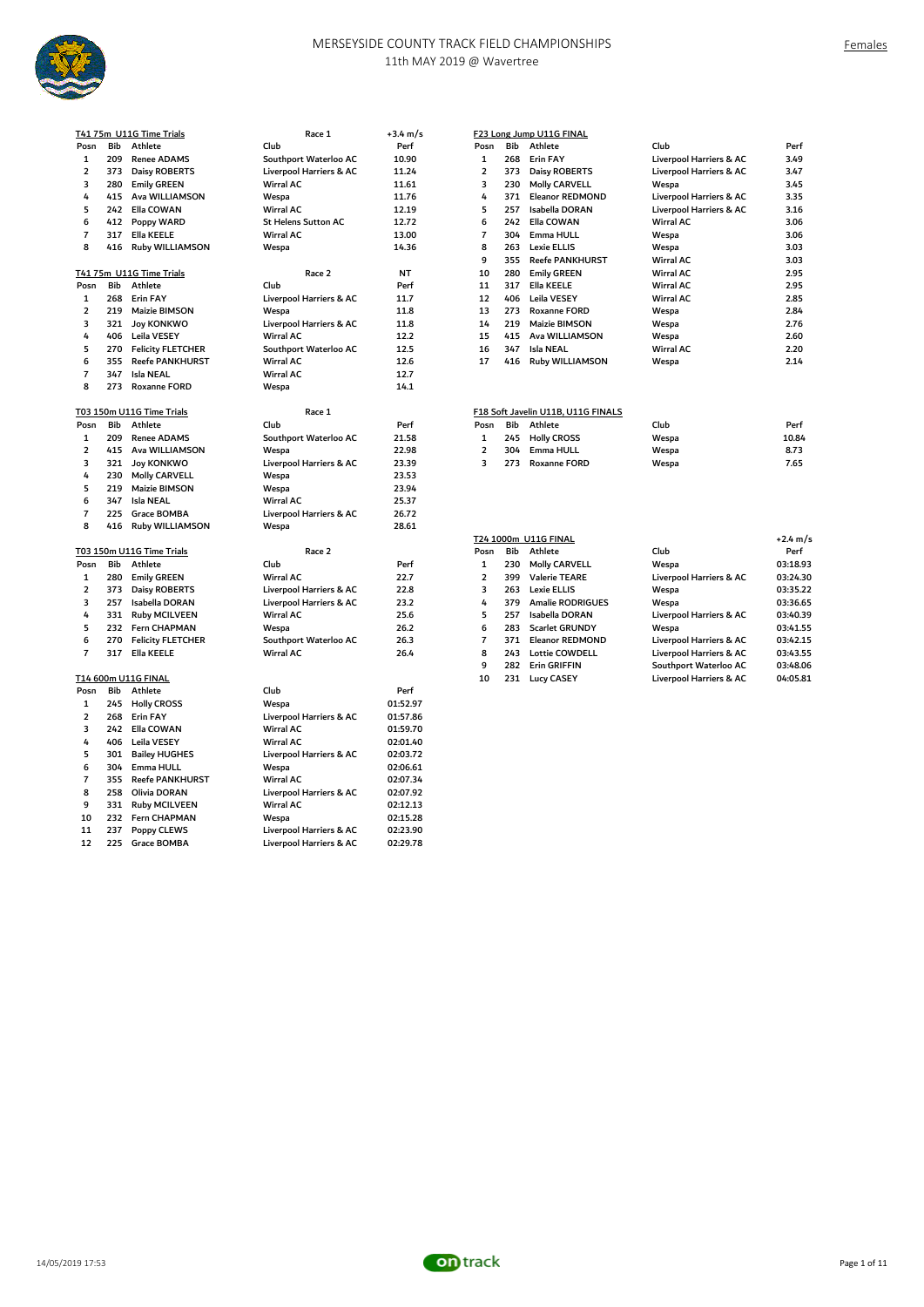

|                         |     | <u>T4175m U11G Time Trials</u>         | Race 1                     | +3.4 m/s  |                     |     | F23 Long Jump U11G FINAL           |                         |            |
|-------------------------|-----|----------------------------------------|----------------------------|-----------|---------------------|-----|------------------------------------|-------------------------|------------|
| Posn                    | Bib | Athlete                                | Club                       | Perf      | Posn                | Bib | Athlete                            | Club                    | Perf       |
| $\mathbf{1}$            | 209 | <b>Renee ADAMS</b>                     | Southport Waterloo AC      | 10.90     | $\mathbf{1}$        | 268 | Erin FAY                           | Liverpool Harriers & AC | 3.49       |
| $\overline{\mathbf{2}}$ | 373 | <b>Daisy ROBERTS</b>                   | Liverpool Harriers & AC    | 11.24     | $\overline{2}$      | 373 | Daisy ROBERTS                      | Liverpool Harriers & AC | 3.47       |
| 3                       | 280 | <b>Emily GREEN</b>                     | <b>Wirral AC</b>           | 11.61     | 3                   | 230 | <b>Molly CARVELL</b>               | Wespa                   | 3.45       |
| 4                       | 415 | Ava WILLIAMSON                         | Wespa                      | 11.76     | 4                   | 371 | <b>Eleanor REDMOND</b>             | Liverpool Harriers & AC | 3.35       |
| 5                       | 242 | Ella COWAN                             | <b>Wirral AC</b>           | 12.19     | 5                   | 257 | Isabella DORAN                     | Liverpool Harriers & AC | 3.16       |
| 6                       | 412 | Poppy WARD                             | <b>St Helens Sutton AC</b> | 12.72     | 6                   | 242 | Ella COWAN                         | Wirral AC               | 3.06       |
| $\overline{7}$          | 317 | Ella KEELE                             | <b>Wirral AC</b>           | 13.00     | $\overline{7}$      | 304 | Emma HULL                          | Wespa                   | 3.06       |
| 8                       | 416 | <b>Ruby WILLIAMSON</b>                 | Wespa                      | 14.36     | 8                   | 263 | Lexie ELLIS                        | Wespa                   | 3.03       |
|                         |     |                                        |                            |           | 9                   | 355 | <b>Reefe PANKHURST</b>             | Wirral AC               | 3.03       |
|                         |     | T41 75m U11G Time Trials               | Race 2                     | <b>NT</b> | 10                  | 280 | <b>Emily GREEN</b>                 | <b>Wirral AC</b>        | 2.95       |
| Posn                    | Bib | Athlete                                | Club                       | Perf      | 11                  | 317 | Ella KEELE                         | <b>Wirral AC</b>        | 2.95       |
|                         |     |                                        |                            |           |                     |     |                                    |                         |            |
| 1                       | 268 | <b>Erin FAY</b>                        | Liverpool Harriers & AC    | 11.7      | 12                  | 406 | Leila VESEY                        | Wirral AC               | 2.85       |
| $\overline{2}$          | 219 | Maizie BIMSON                          | Wespa                      | 11.8      | 13                  | 273 | <b>Roxanne FORD</b>                | Wespa                   | 2.84       |
| 3                       | 321 | <b>Joy KONKWO</b>                      | Liverpool Harriers & AC    | 11.8      | 14                  | 219 | Maizie BIMSON                      | Wespa                   | 2.76       |
| 4                       | 406 | Leila VESEY                            | <b>Wirral AC</b>           | 12.2      | 15                  | 415 | Ava WILLIAMSON                     | Wespa                   | 2.60       |
| 5                       | 270 | <b>Felicity FLETCHER</b>               | Southport Waterloo AC      | 12.5      | 16                  | 347 | <b>Isla NEAL</b>                   | Wirral AC               | 2.20       |
| 6                       | 355 | <b>Reefe PANKHURST</b>                 | <b>Wirral AC</b>           | 12.6      | 17                  | 416 | <b>Ruby WILLIAMSON</b>             | Wespa                   | 2.14       |
| $\overline{7}$          | 347 | <b>Isla NEAL</b>                       | <b>Wirral AC</b>           | 12.7      |                     |     |                                    |                         |            |
| 8                       | 273 | <b>Roxanne FORD</b>                    | Wespa                      | 14.1      |                     |     |                                    |                         |            |
|                         |     |                                        |                            |           |                     |     |                                    |                         |            |
|                         |     | T03 150m U11G Time Trials              | Race 1                     |           |                     |     | F18 Soft Javelin U11B, U11G FINALS |                         |            |
| Posn                    | Bib | Athlete                                | Club                       | Perf      | Posn                | Bib | Athlete                            | Club                    | Perf       |
| 1                       | 209 | <b>Renee ADAMS</b>                     | Southport Waterloo AC      | 21.58     | 1                   | 245 | <b>Holly CROSS</b>                 | Wespa                   | 10.84      |
| 2                       | 415 | Ava WILLIAMSON                         | Wespa                      | 22.98     | $\overline{2}$      | 304 | Emma HULL                          | Wespa                   | 8.73       |
| 3                       | 321 | <b>Joy KONKWO</b>                      | Liverpool Harriers & AC    | 23.39     | 3                   | 273 | <b>Roxanne FORD</b>                | Wespa                   | 7.65       |
| 4                       | 230 | <b>Molly CARVELL</b>                   | Wespa                      | 23.53     |                     |     |                                    |                         |            |
| 5                       | 219 | Maizie BIMSON                          | Wespa                      | 23.94     |                     |     |                                    |                         |            |
| 6                       | 347 | <b>Isla NEAL</b>                       | <b>Wirral AC</b>           | 25.37     |                     |     |                                    |                         |            |
| $\overline{7}$          | 225 | Grace BOMBA                            | Liverpool Harriers & AC    | 26.72     |                     |     |                                    |                         |            |
| 8                       | 416 | <b>Ruby WILLIAMSON</b>                 | Wespa                      | 28.61     |                     |     |                                    |                         |            |
|                         |     |                                        |                            |           |                     |     | T24 1000m U11G FINAL               |                         | $+2.4$ m/s |
|                         |     | T03 150m U11G Time Trials              | Race 2                     |           | Posn                | Bib | Athlete                            | Club                    | Perf       |
| Posn                    | Bib | Athlete                                | Club                       | Perf      | $\mathbf 1$         | 230 | <b>Molly CARVELL</b>               | Wespa                   | 03:18.93   |
| 1                       | 280 | <b>Emily GREEN</b>                     | <b>Wirral AC</b>           | 22.7      | $\overline{2}$      | 399 | <b>Valerie TEARE</b>               | Liverpool Harriers & AC | 03:24.30   |
| $\overline{\mathbf{2}}$ | 373 | <b>Daisy ROBERTS</b>                   | Liverpool Harriers & AC    | 22.8      | 3                   | 263 | <b>Lexie ELLIS</b>                 | Wespa                   | 03:35.22   |
| 3                       | 257 | Isabella DORAN                         | Liverpool Harriers & AC    | 23.2      | 4                   | 379 | <b>Amalie RODRIGUES</b>            | Wespa                   | 03:36.65   |
| 4                       | 331 | <b>Ruby MCILVEEN</b>                   | <b>Wirral AC</b>           | 25.6      | 5                   | 257 | Isabella DORAN                     | Liverpool Harriers & AC | 03:40.39   |
| 5                       |     |                                        |                            |           | 6                   | 283 |                                    |                         | 03:41.55   |
|                         | 232 | Fern CHAPMAN                           | Wespa                      | 26.2      |                     |     | <b>Scarlet GRUNDY</b>              | Wespa                   |            |
| 6<br>$\overline{7}$     | 270 | <b>Felicity FLETCHER</b><br>Ella KEELE | Southport Waterloo AC      | 26.3      | $\overline{7}$<br>8 | 371 | <b>Eleanor REDMOND</b>             | Liverpool Harriers & AC | 03:42.15   |
|                         | 317 |                                        | <b>Wirral AC</b>           | 26.4      |                     | 243 | <b>Lottie COWDELL</b>              | Liverpool Harriers & AC | 03:43.55   |
|                         |     |                                        |                            |           | 9                   | 282 | Erin GRIFFIN                       | Southport Waterloo AC   | 03:48.06   |
|                         |     | T14 600m U11G FINAL                    |                            |           | 10                  | 231 | <b>Lucy CASEY</b>                  | Liverpool Harriers & AC | 04:05.81   |
| Posn                    | Bib | Athlete                                | Club                       | Perf      |                     |     |                                    |                         |            |
| $\mathbf{1}$            | 245 | <b>Holly CROSS</b>                     | Wespa                      | 01:52.97  |                     |     |                                    |                         |            |
| 2                       | 268 | Erin FAY                               | Liverpool Harriers & AC    | 01:57.86  |                     |     |                                    |                         |            |
| 3                       | 242 | Ella COWAN                             | <b>Wirral AC</b>           | 01:59.70  |                     |     |                                    |                         |            |
| 4                       | 406 | Leila VESEY                            | <b>Wirral AC</b>           | 02:01.40  |                     |     |                                    |                         |            |
| 5                       | 301 | <b>Bailey HUGHES</b>                   | Liverpool Harriers & AC    | 02:03.72  |                     |     |                                    |                         |            |
| 6                       | 304 | Emma HULL                              | Wespa                      | 02:06.61  |                     |     |                                    |                         |            |
| 7                       | 355 | <b>Reefe PANKHURST</b>                 | <b>Wirral AC</b>           | 02:07.34  |                     |     |                                    |                         |            |
| 8                       | 258 | Olivia DORAN                           | Liverpool Harriers & AC    | 02:07.92  |                     |     |                                    |                         |            |
| 9                       | 331 | <b>Ruby MCILVEEN</b>                   | <b>Wirral AC</b>           | 02:12.13  |                     |     |                                    |                         |            |
| 10                      | 232 | Fern CHAPMAN                           | Wespa                      | 02:15.28  |                     |     |                                    |                         |            |
| 11                      | 237 | <b>Poppy CLEWS</b>                     | Liverpool Harriers & AC    | 02:23.90  |                     |     |                                    |                         |            |
|                         |     |                                        |                            |           |                     |     |                                    |                         |            |

225 Grace BOMBA Liverpool Harriers & AC 02:29.78

| /s |                |     | F23 Long Jump U11G FINAL |                         |      |
|----|----------------|-----|--------------------------|-------------------------|------|
|    | Posn           | Bib | Athlete                  | Club                    | Perf |
|    | 1              | 268 | Erin FAY                 | Liverpool Harriers & AC | 3.49 |
|    | $\overline{a}$ | 373 | Daisy ROBERTS            | Liverpool Harriers & AC | 3.47 |
|    | 3              | 230 | Molly CARVELL            | Wespa                   | 3.45 |
|    | 4              | 371 | <b>Eleanor REDMOND</b>   | Liverpool Harriers & AC | 3.35 |
|    | 5              | 257 | Isabella DORAN           | Liverpool Harriers & AC | 3.16 |
|    | 6              | 242 | Ella COWAN               | Wirral AC               | 3.06 |
|    | 7              | 304 | Emma HULL                | Wespa                   | 3.06 |
|    | 8              | 263 | Lexie ELLIS              | Wespa                   | 3.03 |
|    | 9              | 355 | <b>Reefe PANKHURST</b>   | Wirral AC               | 3.03 |
|    | 10             | 280 | <b>Emily GREEN</b>       | <b>Wirral AC</b>        | 2.95 |
|    | 11             | 317 | Ella KEELE               | <b>Wirral AC</b>        | 2.95 |
|    | 12             | 406 | Leila VESEY              | <b>Wirral AC</b>        | 2.85 |
|    | 13             | 273 | <b>Roxanne FORD</b>      | Wespa                   | 2.84 |
|    | 14             | 219 | <b>Maizie BIMSON</b>     | Wespa                   | 2.76 |
|    | 15             | 415 | Ava WILLIAMSON           | Wespa                   | 2.60 |
|    | 16             | 347 | Isla NEAL                | Wirral AC               | 2.20 |
|    | 17             | 416 | Ruby WILLIAMSON          | Wespa                   | 2.14 |
|    |                |     |                          |                         |      |

|     | F18 Soft Javelin U11B. U11G FINALS |  |
|-----|------------------------------------|--|
| D:L | $A + 1 + $                         |  |

| osn            | <b>Bib</b> Athlete | Club  | Perf  |
|----------------|--------------------|-------|-------|
| 1              | 245 Holly CROSS    | Wespa | 10.84 |
| $\overline{2}$ | 304 Emma HULL      | Wespa | 8.73  |
| $\overline{3}$ | 273 Roxanne FORD   | Wespa | 7.65  |

|     |     |                          |                                    |      |      |     | T24 1000m U11G FINAL    |                         | $+2.4 \text{ m/s}$ |
|-----|-----|--------------------------|------------------------------------|------|------|-----|-------------------------|-------------------------|--------------------|
|     |     | 3 150m U11G Time Trials  | Race 2                             |      | Posn | Bib | Athlete                 | Club                    | Perf               |
| osn | Bib | Athlete                  | Club                               | Perf |      | 230 | <b>Molly CARVELL</b>    | Wespa                   | 03:18.93           |
|     | 280 | <b>Emily GREEN</b>       | Wirral AC                          | 22.7 |      | 399 | <b>Valerie TEARE</b>    | Liverpool Harriers & AC | 03:24.30           |
| 2   | 373 | <b>Daisy ROBERTS</b>     | Liverpool Harriers & AC            | 22.8 |      | 263 | Lexie ELLIS             | Wespa                   | 03:35.22           |
|     | 257 | Isabella DORAN           | <b>Liverpool Harriers &amp; AC</b> | 23.2 | 4    | 379 | <b>Amalie RODRIGUES</b> | Wespa                   | 03:36.65           |
| 4   | 331 | <b>Ruby MCILVEEN</b>     | Wirral AC                          | 25.6 |      | 257 | Isabella DORAN          | Liverpool Harriers & AC | 03:40.39           |
| 5   | 232 | <b>Fern CHAPMAN</b>      | Wespa                              | 26.2 | 6.   | 283 | <b>Scarlet GRUNDY</b>   | Wespa                   | 03:41.55           |
| 6   | 270 | <b>Felicity FLETCHER</b> | Southport Waterloo AC              | 26.3 |      | 371 | <b>Eleanor REDMOND</b>  | Liverpool Harriers & AC | 03:42.15           |
|     | 317 | Ella KEELE               | Wirral AC                          | 26.4 | 8    | 243 | <b>Lottie COWDELL</b>   | Liverpool Harriers & AC | 03:43.55           |
|     |     |                          |                                    |      | 9    | 282 | <b>Erin GRIFFIN</b>     | Southport Waterloo AC   | 03:48.06           |
|     |     | 4 600m U11G FINAL        |                                    |      | 10   | 231 | <b>Lucy CASEY</b>       | Liverpool Harriers & AC | 04:05.81           |
|     |     | ___ _ _ _                | - -                                | - -  |      |     |                         |                         |                    |

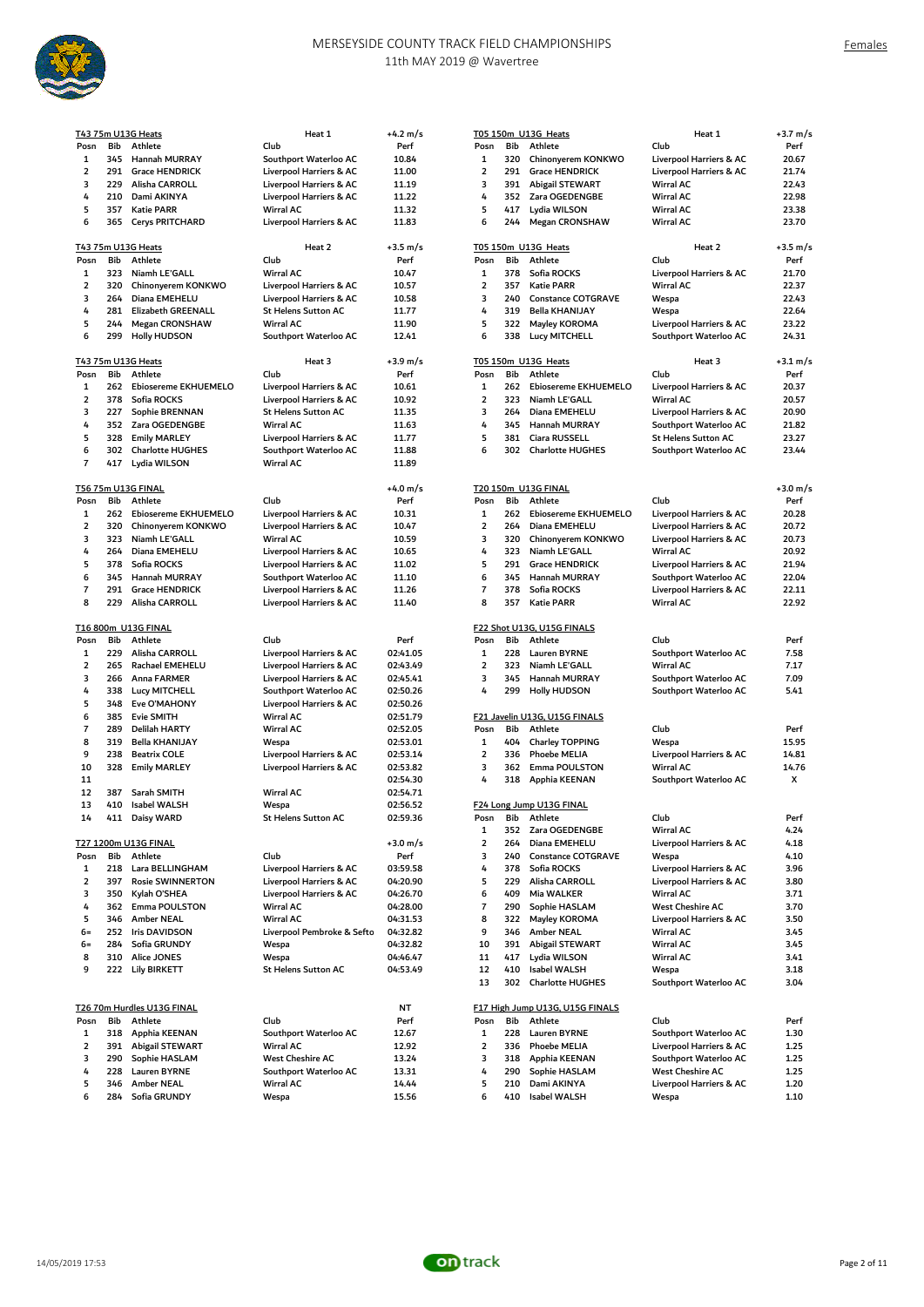

|                |     | 375m U13G Heats           | Heat 1                     | +4.2 m/s           |                |     | T05 150m U13G Heats             | Heat 1                     | $+3.7 \text{ m/s}$ |
|----------------|-----|---------------------------|----------------------------|--------------------|----------------|-----|---------------------------------|----------------------------|--------------------|
| osn            | Bib | Athlete                   | Club                       | Perf               | Posn           | Bib | Athlete                         | Club                       | Perf               |
| 1              | 345 | Hannah MURRAY             | Southport Waterloo AC      | 10.84              | $\mathbf 1$    | 320 | Chinonyerem KONKWO              | Liverpool Harriers & AC    | 20.67              |
| 2              | 291 | <b>Grace HENDRICK</b>     | Liverpool Harriers & AC    | 11.00              | $\overline{2}$ | 291 | <b>Grace HENDRICK</b>           | Liverpool Harriers & AC    | 21.74              |
|                |     |                           |                            |                    |                |     |                                 |                            |                    |
| 3              | 229 | Alisha CARROLL            | Liverpool Harriers & AC    | 11.19              | 3              |     | 391 Abigail STEWART             | <b>Wirral AC</b>           | 22.43              |
| 4              | 210 | Dami AKINYA               | Liverpool Harriers & AC    | 11.22              | 4              |     | 352 Zara OGEDENGBE              | <b>Wirral AC</b>           | 22.98              |
| 5              | 357 | <b>Katie PARR</b>         | <b>Wirral AC</b>           | 11.32              | 5              | 417 | Lydia WILSON                    | <b>Wirral AC</b>           | 23.38              |
| 6              | 365 | <b>Cerys PRITCHARD</b>    | Liverpool Harriers & AC    | 11.83              | 6              | 244 | <b>Megan CRONSHAW</b>           | <b>Wirral AC</b>           | 23.70              |
|                |     |                           |                            |                    |                |     |                                 |                            |                    |
|                |     | 3 75m U13G Heats          | Heat 2                     | $+3.5 \text{ m/s}$ |                |     | T05 150m U13G Heats             | Heat 2                     | $+3.5 \text{ m/s}$ |
|                |     |                           |                            |                    |                |     |                                 |                            |                    |
| osn            | Bib | Athlete                   | Club                       | Perf               | Posn           | Bib | Athlete                         | Club                       | Perf               |
| 1              | 323 | Niamh LE'GALL             | <b>Wirral AC</b>           | 10.47              | $\mathbf{1}$   | 378 | Sofia ROCKS                     | Liverpool Harriers & AC    | 21.70              |
| 2              | 320 | Chinonyerem KONKWO        | Liverpool Harriers & AC    | 10.57              | $\overline{2}$ | 357 | <b>Katie PARR</b>               | <b>Wirral AC</b>           | 22.37              |
| 3              | 264 | Diana EMEHELU             | Liverpool Harriers & AC    | 10.58              | 3              | 240 | <b>Constance COTGRAVE</b>       | Wespa                      | 22.43              |
|                |     |                           |                            |                    |                |     |                                 |                            |                    |
| 4              | 281 | <b>Elizabeth GREENALL</b> | <b>St Helens Sutton AC</b> | 11.77              | 4              | 319 | Bella KHANIJAY                  | Wespa                      | 22.64              |
| 5              | 244 | <b>Megan CRONSHAW</b>     | <b>Wirral AC</b>           | 11.90              | 5              | 322 | Mayley KOROMA                   | Liverpool Harriers & AC    | 23.22              |
| 6              | 299 | <b>Holly HUDSON</b>       | Southport Waterloo AC      | 12.41              | 6              | 338 | Lucy MITCHELL                   | Southport Waterloo AC      | 24.31              |
|                |     |                           |                            |                    |                |     |                                 |                            |                    |
|                |     | 3 75m U13G Heats          | Heat 3                     | $+3.9 \text{ m/s}$ |                |     | T05 150m U13G Heats             | Heat 3                     | $+3.1 \text{ m/s}$ |
|                | Bib | Athlete                   | Club                       | Perf               | Posn           | Bib | Athlete                         | Club                       | Perf               |
| osn            |     |                           |                            |                    |                |     |                                 |                            |                    |
| 1              | 262 | Ebiosereme EKHUEMELO      | Liverpool Harriers & AC    | 10.61              | $\mathbf{1}$   | 262 | Ebiosereme EKHUEMELO            | Liverpool Harriers & AC    | 20.37              |
| 2              | 378 | Sofia ROCKS               | Liverpool Harriers & AC    | 10.92              | $\overline{2}$ | 323 | Niamh LE'GALL                   | <b>Wirral AC</b>           | 20.57              |
| 3              | 227 | Sophie BRENNAN            | <b>St Helens Sutton AC</b> | 11.35              | 3              | 264 | Diana EMEHELU                   | Liverpool Harriers & AC    | 20.90              |
|                | 352 |                           | <b>Wirral AC</b>           |                    | 4              | 345 | Hannah MURRAY                   | Southport Waterloo AC      |                    |
| 4              |     | Zara OGEDENGBE            |                            | 11.63              |                |     |                                 |                            | 21.82              |
| 5              | 328 | <b>Emily MARLEY</b>       | Liverpool Harriers & AC    | 11.77              | 5              | 381 | Ciara RUSSELL                   | <b>St Helens Sutton AC</b> | 23.27              |
| 6              | 302 | <b>Charlotte HUGHES</b>   | Southport Waterloo AC      | 11.88              | 6              | 302 | <b>Charlotte HUGHES</b>         | Southport Waterloo AC      | 23.44              |
| 7              | 417 | Lydia WILSON              | <b>Wirral AC</b>           | 11.89              |                |     |                                 |                            |                    |
|                |     |                           |                            |                    |                |     |                                 |                            |                    |
|                |     | 6 75m U13G FINAL          |                            | +4.0 m/s           |                |     | T20 150m U13G FINAL             |                            | $+3.0 \text{ m/s}$ |
|                |     |                           |                            |                    |                |     |                                 |                            |                    |
| osn            | Bib | Athlete                   | Club                       | Perf               | Posn           | Bib | Athlete                         | Club                       | Perf               |
| 1              | 262 | Ebiosereme EKHUEMELO      | Liverpool Harriers & AC    | 10.31              | $\mathbf{1}$   | 262 | Ebiosereme EKHUEMELO            | Liverpool Harriers & AC    | 20.28              |
| 2              | 320 | Chinonyerem KONKWO        | Liverpool Harriers & AC    | 10.47              | $\overline{2}$ | 264 | Diana EMEHELU                   | Liverpool Harriers & AC    | 20.72              |
| 3              | 323 | Niamh LE'GALL             | <b>Wirral AC</b>           | 10.59              | 3              | 320 |                                 |                            | 20.73              |
|                |     |                           |                            |                    |                |     | Chinonyerem KONKWO              | Liverpool Harriers & AC    |                    |
| 4              | 264 | Diana EMEHELU             | Liverpool Harriers & AC    | 10.65              | 4              | 323 | Niamh LE'GALL                   | <b>Wirral AC</b>           | 20.92              |
| 5              | 378 | Sofia ROCKS               | Liverpool Harriers & AC    | 11.02              | 5              | 291 | <b>Grace HENDRICK</b>           | Liverpool Harriers & AC    | 21.94              |
| 6              | 345 | Hannah MURRAY             | Southport Waterloo AC      | 11.10              | 6              | 345 | Hannah MURRAY                   | Southport Waterloo AC      | 22.04              |
| 7              | 291 | <b>Grace HENDRICK</b>     |                            |                    | $\overline{7}$ | 378 | Sofia ROCKS                     |                            |                    |
|                |     |                           | Liverpool Harriers & AC    | 11.26              |                |     |                                 | Liverpool Harriers & AC    | 22.11              |
| 8              | 229 | Alisha CARROLL            | Liverpool Harriers & AC    | 11.40              | 8              | 357 | <b>Katie PARR</b>               | Wirral AC                  | 22.92              |
|                |     |                           |                            |                    |                |     |                                 |                            |                    |
|                |     | 6 800m U13G FINAL         |                            |                    |                |     | F22 Shot U13G, U15G FINALS      |                            |                    |
| osn            | Bib | Athlete                   | Club                       | Perf               | Posn           | Bib | Athlete                         | Club                       | Perf               |
| 1              | 229 | Alisha CARROLL            | Liverpool Harriers & AC    | 02:41.05           | $\mathbf{1}$   | 228 | <b>Lauren BYRNE</b>             | Southport Waterloo AC      | 7.58               |
|                |     |                           |                            |                    |                |     |                                 |                            |                    |
| 2              | 265 | Rachael EMEHELU           | Liverpool Harriers & AC    | 02:43.49           | $\overline{2}$ | 323 | Niamh LE'GALL                   | <b>Wirral AC</b>           | 7.17               |
| 3              | 266 | Anna FARMER               | Liverpool Harriers & AC    | 02:45.41           | 3              | 345 | Hannah MURRAY                   | Southport Waterloo AC      | 7.09               |
| 4              | 338 | Lucy MITCHELL             | Southport Waterloo AC      | 02:50.26           | 4              | 299 | <b>Holly HUDSON</b>             | Southport Waterloo AC      | 5.41               |
| 5              | 348 | Eve O'MAHONY              | Liverpool Harriers & AC    | 02:50.26           |                |     |                                 |                            |                    |
|                |     |                           |                            |                    |                |     |                                 |                            |                    |
| 6              | 385 | <b>Evie SMITH</b>         | <b>Wirral AC</b>           | 02:51.79           |                |     | F21 Javelin U13G, U15G FINALS   |                            |                    |
| 7              | 289 | Delilah HARTY             | Wirral AC                  | 02:52.05           | Posn           | Bib | Athlete                         | Club                       | Perf               |
| 8              | 319 | Bella KHANIJAY            | Wespa                      | 02:53.01           | $\mathbf{1}$   | 404 | Charley TOPPING                 | Wespa                      | 15.95              |
| 9              | 238 | <b>Beatrix COLE</b>       | Liverpool Harriers & AC    | 02:53.14           | $\overline{2}$ | 336 | <b>Phoebe MELIA</b>             | Liverpool Harriers & AC    | 14.81              |
|                |     |                           |                            |                    |                |     |                                 |                            |                    |
| LO             | 328 | <b>Emily MARLEY</b>       | Liverpool Harriers & AC    | 02:53.82           | 3              | 362 | Emma POULSTON                   | <b>Wirral AC</b>           | 14.76              |
| L1             |     |                           |                            | 02:54.30           | 4              |     | 318 Apphia KEENAN               | Southport Waterloo AC      | x                  |
| L2             | 387 | Sarah SMITH               | <b>Wirral AC</b>           | 02:54.71           |                |     |                                 |                            |                    |
| L3             | 410 | Isabel WALSH              | Wespa                      | 02:56.52           |                |     | F24 Long Jump U13G FINAL        |                            |                    |
|                |     |                           |                            | 02:59.36           |                |     | Posn Bib Athlete                | Club                       | Perf               |
|                | 411 | Daisy WARD                | St Helens Sutton AC        |                    |                |     |                                 |                            |                    |
|                |     |                           |                            |                    | 1              |     | 352 Zara OGEDENGBE              | Wirral AC                  | 4.24               |
|                |     | 7 1200m U13G FINAL        |                            | +3.0 m/s           | $\mathbf 2$    | 264 | Diana EMEHELU                   | Liverpool Harriers & AC    | 4.18               |
| osn            | Bib | Athlete                   | Club                       | Perf               | 3              | 240 | <b>Constance COTGRAVE</b>       | Wespa                      | 4.10               |
| 1              | 218 | Lara BELLINGHAM           | Liverpool Harriers & AC    | 03:59.58           | 4              | 378 | Sofia ROCKS                     | Liverpool Harriers & AC    | 3.96               |
|                |     |                           |                            |                    |                |     |                                 |                            |                    |
| 2              | 397 | <b>Rosie SWINNERTON</b>   | Liverpool Harriers & AC    | 04:20.90           | 5              | 229 | Alisha CARROLL                  | Liverpool Harriers & AC    | 3.80               |
| 3              | 350 | Kylah O'SHEA              | Liverpool Harriers & AC    | 04:26.70           | 6              | 409 | Mia WALKER                      | Wirral AC                  | 3.71               |
| 4              | 362 | Emma POULSTON             | <b>Wirral AC</b>           | 04:28.00           | $\overline{7}$ | 290 | Sophie HASLAM                   | <b>West Cheshire AC</b>    | 3.70               |
| 5              | 346 | Amber NEAL                | Wirral AC                  | 04:31.53           | 8              | 322 | Mayley KOROMA                   | Liverpool Harriers & AC    | 3.50               |
|                |     |                           |                            |                    |                |     |                                 |                            |                    |
| $\mathbf{5} =$ | 252 | <b>Iris DAVIDSON</b>      | Liverpool Pembroke & Sefto | 04:32.82           | 9              | 346 | <b>Amber NEAL</b>               | <b>Wirral AC</b>           | 3.45               |
| $\frac{1}{2}$  | 284 | Sofia GRUNDY              | Wespa                      | 04:32.82           | 10             | 391 | <b>Abigail STEWART</b>          | Wirral AC                  | 3.45               |
| 8              | 310 | <b>Alice JONES</b>        | Wespa                      | 04:46.47           | 11             | 417 | Lydia WILSON                    | <b>Wirral AC</b>           | 3.41               |
| 9              | 222 | <b>Lily BIRKETT</b>       | <b>St Helens Sutton AC</b> | 04:53.49           | 12             | 410 | Isabel WALSH                    | Wespa                      | 3.18               |
|                |     |                           |                            |                    | 13             | 302 | <b>Charlotte HUGHES</b>         | Southport Waterloo AC      | 3.04               |
|                |     |                           |                            |                    |                |     |                                 |                            |                    |
|                |     |                           |                            |                    |                |     |                                 |                            |                    |
|                |     | 6 70m Hurdles U13G FINAL  |                            | NT                 |                |     | F17 High Jump U13G, U15G FINALS |                            |                    |
| osn            | Bib | Athlete                   | Club                       | Perf               | Posn           | Bib | Athlete                         | Club                       | Perf               |
| 1              | 318 | Apphia KEENAN             | Southport Waterloo AC      | 12.67              | $\mathbf{1}$   | 228 | <b>Lauren BYRNE</b>             | Southport Waterloo AC      | 1.30               |
| 2              | 391 | Abigail STEWART           | Wirral AC                  | 12.92              | $\mathbf 2$    | 336 | <b>Phoebe MELIA</b>             | Liverpool Harriers & AC    | 1.25               |
|                |     |                           |                            |                    |                |     |                                 |                            |                    |
| 3              | 290 | Sophie HASLAM             | West Cheshire AC           | 13.24              | 3              | 318 | Apphia KEENAN                   | Southport Waterloo AC      | 1.25               |
| 4              | 228 | Lauren BYRNE              | Southport Waterloo AC      | 13.31              | 4              | 290 | Sophie HASLAM                   | West Cheshire AC           | 1.25               |
| 5              | 346 | Amber NEAL                | <b>Wirral AC</b>           | 14.44              | 5              | 210 | Dami AKINYA                     | Liverpool Harriers & AC    | 1.20               |
| 6              | 284 | Sofia GRUNDY              | Wespa                      | 15.56              | 6              | 410 | <b>Isabel WALSH</b>             | Wespa                      | 1.10               |
|                |     |                           |                            |                    |                |     |                                 |                            |                    |

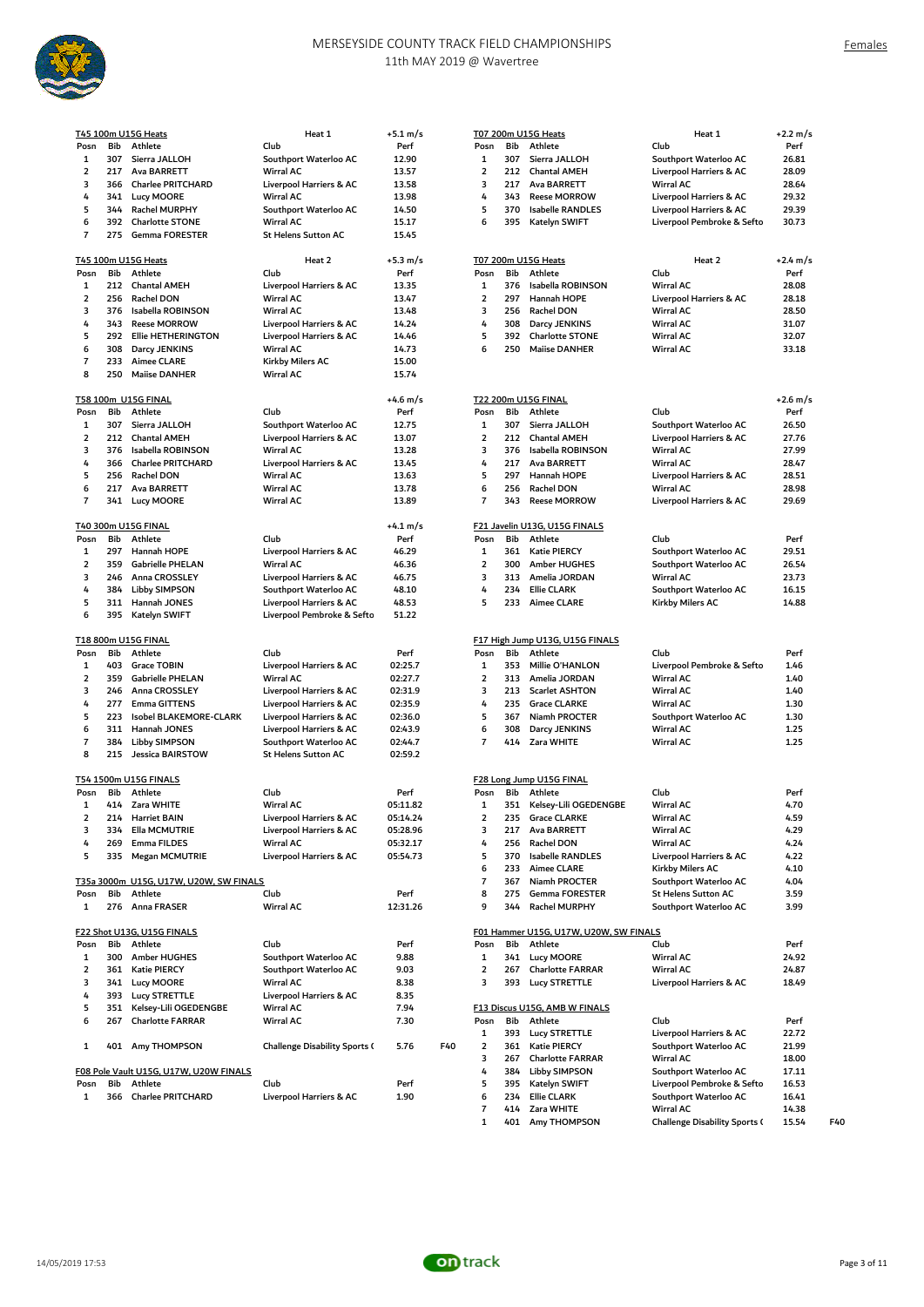

|                          |            | T45 100m U15G Heats                             | Heat 1                                         | $+5.1 \text{ m/s}$   |                         |            | T07 200m U15G Heats                    | Heat 1                                              | +2.2 m/s     |
|--------------------------|------------|-------------------------------------------------|------------------------------------------------|----------------------|-------------------------|------------|----------------------------------------|-----------------------------------------------------|--------------|
| Posn                     | Bib        | Athlete                                         | Club                                           | Perf                 | Posn                    | Bib        | Athlete                                | Club                                                | Perf         |
| 1                        | 307        | Sierra JALLOH                                   | Southport Waterloo AC                          | 12.90                | 1                       | 307        | Sierra JALLOH                          | Southport Waterloo AC                               | 26.81        |
| 2                        | 217        | Ava BARRETT                                     | <b>Wirral AC</b>                               | 13.57                | 2                       | 212        | <b>Chantal AMEH</b>                    | Liverpool Harriers & AC                             | 28.09        |
| 3                        | 366        | <b>Charlee PRITCHARD</b>                        | Liverpool Harriers & AC                        | 13.58                | 3                       | 217        | Ava BARRETT                            | Wirral AC                                           | 28.64        |
| 4                        | 341        | <b>Lucy MOORE</b>                               | <b>Wirral AC</b>                               | 13.98                | 4                       | 343        | <b>Reese MORROW</b>                    | Liverpool Harriers & AC                             | 29.32        |
| 5                        |            |                                                 |                                                |                      | 5                       |            |                                        |                                                     |              |
|                          | 344        | Rachel MURPHY                                   | Southport Waterloo AC                          | 14.50                |                         | 370        | <b>Isabelle RANDLES</b>                | Liverpool Harriers & AC                             | 29.39        |
| 6<br>$\overline{7}$      | 392<br>275 | <b>Charlotte STONE</b><br><b>Gemma FORESTER</b> | <b>Wirral AC</b><br><b>St Helens Sutton AC</b> | 15.17<br>15.45       | 6                       | 395        | Katelyn SWIFT                          | Liverpool Pembroke & Sefto                          | 30.73        |
|                          |            |                                                 |                                                |                      |                         |            |                                        |                                                     |              |
|                          |            | T45 100m U15G Heats                             | Heat 2                                         | $+5.3 \; \text{m/s}$ |                         |            | <b>T07 200m U15G Heats</b>             | Heat 2                                              | +2.4 m/s     |
| Posn                     | Bib        | Athlete                                         | Club                                           | Perf                 | Posn                    | Bib        | Athlete                                | Club                                                | Perf         |
| $\mathbf{1}$             |            | 212 Chantal AMEH                                | Liverpool Harriers & AC                        | 13.35                | 1                       | 376        | Isabella ROBINSON                      | Wirral AC                                           | 28.08        |
| 2                        | 256        | Rachel DON                                      | <b>Wirral AC</b>                               | 13.47                | 2                       | 297        | Hannah HOPE                            | Liverpool Harriers & AC                             | 28.18        |
| 3                        | 376        | Isabella ROBINSON                               | <b>Wirral AC</b>                               | 13.48                | 3                       | 256        | Rachel DON                             | Wirral AC                                           | 28.50        |
| 4                        | 343        | <b>Reese MORROW</b>                             | Liverpool Harriers & AC                        | 14.24                | 4                       | 308        | Darcy JENKINS                          | Wirral AC                                           | 31.07        |
| 5                        | 292        | <b>Ellie HETHERINGTON</b>                       | Liverpool Harriers & AC                        | 14.46                | 5                       | 392        | <b>Charlotte STONE</b>                 | Wirral AC                                           | 32.07        |
| 6                        | 308        | Darcy JENKINS                                   | <b>Wirral AC</b>                               | 14.73                | 6                       | 250        | <b>Mailse DANHER</b>                   | Wirral AC                                           | 33.18        |
| 7                        | 233        | <b>Aimee CLARE</b>                              | Kirkby Milers AC                               | 15.00                |                         |            |                                        |                                                     |              |
| 8                        | 250        | <b>Mailse DANHER</b>                            | Wirral AC                                      | 15.74                |                         |            |                                        |                                                     |              |
|                          |            | T58 100m U15G FINAL                             |                                                | +4.6 m/s             |                         |            | T22 200m U15G FINAL                    |                                                     | +2.6 m/s     |
| Posn                     | Bib        | Athlete                                         | Club                                           | Perf                 | Posn                    | Bib        | Athlete                                | Club                                                | Perf         |
| 1                        | 307        | Sierra JALLOH                                   | Southport Waterloo AC                          | 12.75                | $\mathbf{1}$            | 307        | Sierra JALLOH                          | Southport Waterloo AC                               | 26.50        |
| $\overline{2}$           | 212        | <b>Chantal AMEH</b>                             | Liverpool Harriers & AC                        | 13.07                | $\overline{\mathbf{2}}$ | 212        | <b>Chantal AMEH</b>                    | Liverpool Harriers & AC                             | 27.76        |
| 3                        | 376        | Isabella ROBINSON                               | <b>Wirral AC</b>                               | 13.28                | 3                       | 376        | Isabella ROBINSON                      | Wirral AC                                           | 27.99        |
| 4                        | 366        | <b>Charlee PRITCHARD</b>                        |                                                | 13.45                | 4                       | 217        | Ava BARRETT                            | <b>Wirral AC</b>                                    |              |
|                          |            |                                                 | Liverpool Harriers & AC                        |                      |                         |            |                                        |                                                     | 28.47        |
| 5                        | 256        | Rachel DON                                      | <b>Wirral AC</b>                               | 13.63                | 5                       | 297        | Hannah HOPE                            | Liverpool Harriers & AC                             | 28.51        |
| 6                        | 217        | Ava BARRETT                                     | Wirral AC                                      | 13.78                | 6                       | 256        | Rachel DON                             | Wirral AC                                           | 28.98        |
| $\overline{7}$           | 341        | <b>Lucy MOORE</b>                               | <b>Wirral AC</b>                               | 13.89                | $\overline{7}$          | 343        | <b>Reese MORROW</b>                    | Liverpool Harriers & AC                             | 29.69        |
|                          |            | T40 300m U15G FINAL                             |                                                | +4.1 m/s             |                         |            | F21 Javelin U13G, U15G FINALS          |                                                     |              |
| Posn                     | Bib        | Athlete                                         | Club                                           | Perf                 | Posn                    | Bib        | Athlete                                | Club                                                | Perf         |
| $\mathbf{1}$             | 297        | Hannah HOPE                                     | Liverpool Harriers & AC                        | 46.29                | 1                       | 361        | Katie PIERCY                           | Southport Waterloo AC                               | 29.51        |
| $\overline{2}$           | 359        | <b>Gabrielle PHELAN</b>                         | Wirral AC                                      | 46.36                | $\overline{2}$          | 300        | Amber HUGHES                           | Southport Waterloo AC                               | 26.54        |
| 3                        | 246        | Anna CROSSLEY                                   | Liverpool Harriers & AC                        | 46.75                | 3                       | 313        | Amelia JORDAN                          | Wirral AC                                           | 23.73        |
| 4                        | 384        | Libby SIMPSON                                   | Southport Waterloo AC                          | 48.10                | 4                       | 234        | <b>Ellie CLARK</b>                     | Southport Waterloo AC                               | 16.15        |
| 5                        | 311        | Hannah JONES                                    | Liverpool Harriers & AC                        | 48.53                | 5                       | 233        | <b>Aimee CLARE</b>                     | Kirkby Milers AC                                    | 14.88        |
| 6                        | 395        | Katelyn SWIFT                                   | Liverpool Pembroke & Sefto                     | 51.22                |                         |            |                                        |                                                     |              |
|                          |            | T18 800m U15G FINAL                             |                                                |                      |                         |            | F17 High Jump U13G, U15G FINALS        |                                                     |              |
| Posn                     | Bib        | Athlete                                         | Club                                           | Perf                 | Posn                    | Bib        | Athlete                                | Club                                                | Perf         |
| 1                        | 403        | <b>Grace TOBIN</b>                              | Liverpool Harriers & AC                        | 02:25.7              | 1                       | 353        | Millie O'HANLON                        | Liverpool Pembroke & Sefto                          | 1.46         |
| 2                        | 359        | <b>Gabrielle PHELAN</b>                         | <b>Wirral AC</b>                               |                      | $\overline{2}$          | 313        | Amelia JORDAN                          | Wirral AC                                           | 1.40         |
|                          |            |                                                 |                                                | 02:27.7              |                         |            |                                        |                                                     |              |
| 3                        | 246        | Anna CROSSLEY                                   | Liverpool Harriers & AC                        | 02:31.9              | 3                       | 213        | <b>Scarlet ASHTON</b>                  | Wirral AC                                           | 1.40         |
| 4                        | 277        | <b>Emma GITTENS</b>                             | Liverpool Harriers & AC                        | 02:35.9              | 4                       | 235        | <b>Grace CLARKE</b>                    | <b>Wirral AC</b>                                    | 1.30         |
| 5                        | 223        | Isobel BLAKEMORE-CLARK                          | Liverpool Harriers & AC                        | 02:36.0              | 5                       | 367        | Niamh PROCTER                          | Southport Waterloo AC                               | 1.30         |
| 6                        | 311        | Hannah JONES                                    | Liverpool Harriers & AC                        | 02:43.9              | 6                       | 308        | Darcy JENKINS                          | Wirral AC                                           | 1.25         |
| $\overline{\phantom{a}}$ | 384        | Libby SIMPSON                                   | Southport Waterloo AC                          | 02:44.7              | $\overline{7}$          | 414        | Zara WHITE                             | Wirral AC                                           | 1.25         |
| 8                        | 215        | Jessica BAIRSTOW                                | <b>St Helens Sutton AC</b>                     | 02:59.2              |                         |            |                                        |                                                     |              |
|                          |            | T54 1500m U15G FINALS                           |                                                |                      |                         |            | F28 Long Jump U15G FINAL               |                                                     |              |
| Posn                     | Bib        | Athlete                                         | Club                                           | Perf                 | Posn                    | Bib        | Athlete                                | Club                                                | Perf         |
| $\mathbf{1}$             |            | 414 Zara WHITE                                  | <b>Wirral AC</b>                               | 05:11.82             | 1                       |            | 351 Kelsey-Lili OGEDENGBE              | Wirral AC                                           | 4.70         |
| 2                        |            | 214 Harriet BAIN                                | Liverpool Harriers & AC                        | 05:14.24             | $\overline{2}$          | 235        | <b>Grace CLARKE</b>                    | Wirral AC                                           | 4.59         |
| 3                        | 334        | Ella MCMUTRIE                                   | Liverpool Harriers & AC                        | 05:28.96             | 3                       | 217        | Ava BARRETT                            | Wirral AC                                           | 4.29         |
| 4                        | 269        | Emma FILDES                                     | Wirral AC                                      | 05:32.17             | 4                       | 256        | Rachel DON                             | Wirral AC                                           | 4.24         |
| 5                        | 335        | Megan MCMUTRIE                                  | Liverpool Harriers & AC                        | 05:54.73             | 5                       | 370        | Isabelle RANDLES                       | Liverpool Harriers & AC                             | 4.22         |
|                          |            |                                                 |                                                |                      | 6                       |            |                                        |                                                     |              |
|                          |            |                                                 |                                                |                      |                         | 233        | <b>Aimee CLARE</b>                     | Kirkby Milers AC                                    | 4.10         |
|                          |            | T35a 3000m U15G, U17W, U20W, SW FINALS          |                                                |                      | $\overline{7}$          | 367        | Niamh PROCTER                          | Southport Waterloo AC                               | 4.04         |
| Posn<br>$\mathbf{1}$     | Bib<br>276 | Athlete<br>Anna FRASER                          | Club<br><b>Wirral AC</b>                       | Perf<br>12:31.26     | 8<br>9                  | 275<br>344 | <b>Gemma FORESTER</b><br>Rachel MURPHY | <b>St Helens Sutton AC</b><br>Southport Waterloo AC | 3.59<br>3.99 |
|                          |            |                                                 |                                                |                      |                         |            |                                        |                                                     |              |
|                          | Bib        | F22 Shot U13G, U15G FINALS                      | Club                                           | Perf                 | Posn                    | Bib        | F01 Hammer U15G, U17W, U20W, SW FINALS | Club                                                |              |
| Posn                     |            | Athlete                                         |                                                |                      |                         |            | Athlete                                |                                                     | Perf         |
| 1                        | 300        | <b>Amber HUGHES</b>                             | Southport Waterloo AC                          | 9.88                 | 1                       | 341        | <b>Lucy MOORE</b>                      | Wirral AC                                           | 24.92        |
| $\overline{\mathbf{2}}$  | 361        | Katie PIERCY                                    | Southport Waterloo AC                          | 9.03                 | 2                       | 267        | <b>Charlotte FARRAR</b>                | Wirral AC                                           | 24.87        |
| 3                        | 341        | <b>Lucy MOORE</b>                               | Wirral AC                                      | 8.38                 | 3                       | 393        | <b>Lucy STRETTLE</b>                   | Liverpool Harriers & AC                             | 18.49        |
| 4                        | 393        | Lucy STRETTLE                                   | Liverpool Harriers & AC                        | 8.35                 |                         |            |                                        |                                                     |              |
| 5                        | 351        | Kelsey-Lili OGEDENGBE                           | Wirral AC                                      | 7.94                 |                         |            | F13 Discus U15G, AMB W FINALS          |                                                     |              |
| 6                        | 267        | <b>Charlotte FARRAR</b>                         | <b>Wirral AC</b>                               | 7.30                 | Posn                    | Bib        | Athlete                                | Club                                                | Perf         |
|                          |            |                                                 |                                                |                      | 1                       | 393        | <b>Lucy STRETTLE</b>                   | Liverpool Harriers & AC                             | 22.72        |
| 1                        | 401        | Amy THOMPSON                                    | <b>Challenge Disability Sports (</b>           | F40<br>5.76          | $\overline{\mathbf{2}}$ | 361        | Katie PIERCY                           | Southport Waterloo AC                               | 21.99        |
|                          |            |                                                 |                                                |                      | 3                       | 267        | <b>Charlotte FARRAR</b>                | Wirral AC                                           | 18.00        |
|                          |            | F08 Pole Vault U15G, U17W, U20W FINALS          |                                                |                      | 4                       | 384        | Libby SIMPSON                          | Southport Waterloo AC                               | 17.11        |
| Posn                     | Bib        | Athlete                                         | Club                                           | Perf                 | 5                       | 395        | Katelyn SWIFT                          | Liverpool Pembroke & Sefto                          | 16.53        |
| $\mathbf{1}$             | 366        | Charlee PRITCHARD                               | Liverpool Harriers & AC                        | 1.90                 | 6                       | 234        | <b>Ellie CLARK</b>                     | Southport Waterloo AC                               | 16.41        |
|                          |            |                                                 |                                                |                      | $\overline{7}$          |            | 414 Zara WHITE                         | Wirral AC                                           | 14.38        |

|                         |            | T07 200m U15G Heats                     | Heat 1                        | +2.2 m/s                   |  |
|-------------------------|------------|-----------------------------------------|-------------------------------|----------------------------|--|
| Posn                    | Bib        | Athlete                                 | Club                          | Perf                       |  |
| 1                       | 307        | Sierra JALLOH                           | Southport Waterloo AC         | 26.81                      |  |
| 2                       | 212        | Chantal AMEH                            | Liverpool Harriers & AC       | 28.09                      |  |
| 3                       | 217        | Ava BARRETT                             | <b>Wirral AC</b>              | 28.64                      |  |
| 4                       | 343        | <b>Reese MORROW</b>                     | Liverpool Harriers & AC       | 29.32                      |  |
| 5                       | 370        | Isabelle RANDLES                        | Liverpool Harriers & AC       | 29.39                      |  |
| 6                       | 395        | Katelyn SWIFT                           | Liverpool Pembroke & Sefto    | 30.73                      |  |
|                         |            | 07 200m U15G Heats                      | Heat 2                        | $+2.4 \text{ m/s}$         |  |
| Posn                    | Bib        | Athlete                                 | Club                          | Perf                       |  |
| 1                       | 376        | Isabella ROBINSON                       | <b>Wirral AC</b>              | 28.08                      |  |
| $\overline{2}$          | 297        | Hannah HOPE                             | Liverpool Harriers & AC       | 28.18                      |  |
| 3                       |            | 256 Rachel DON                          | <b>Wirral AC</b>              | 28.50                      |  |
| 4                       | 308        | Darcy JENKINS                           | <b>Wirral AC</b>              | 31.07                      |  |
| 5                       | 392        | <b>Charlotte STONE</b>                  | Wirral AC                     | 32.07                      |  |
| 6                       | 250        | <b>Mailse DANHER</b>                    | <b>Wirral AC</b>              | 33.18                      |  |
|                         |            |                                         |                               |                            |  |
| Posn                    | Bib        | <u>722 200m U15G FINAL</u><br>Athlete   | Club                          | $+2.6 \text{ m/s}$<br>Perf |  |
| 1                       | 307        | Sierra JALLOH                           | Southport Waterloo AC         | 26.50                      |  |
| 2                       | 212        | <b>Chantal AMEH</b>                     | Liverpool Harriers & AC       | 27.76                      |  |
| 3                       | 376        | Isabella ROBINSON                       | Wirral AC                     | 27.99                      |  |
| 4                       | 217        | Ava BARRETT                             | <b>Wirral AC</b>              | 28.47                      |  |
| 5                       | 297        | Hannah HOPE                             | Liverpool Harriers & AC       | 28.51                      |  |
| 6                       | 256        | Rachel DON                              | <b>Wirral AC</b>              | 28.98                      |  |
| $\overline{7}$          | 343        | <b>Reese MORROW</b>                     | Liverpool Harriers & AC       | 29.69                      |  |
|                         |            | 21 Javelin U13G, U15G FINALS            |                               |                            |  |
| Posn                    | Bib        | Athlete                                 | Club                          | Perf                       |  |
| 1                       | 361        | <b>Katie PIERCY</b>                     | Southport Waterloo AC         | 29.51                      |  |
| $\overline{\mathbf{2}}$ |            | 300 Amber HUGHES                        | Southport Waterloo AC         | 26.54                      |  |
| 3                       |            | 313 Amelia JORDAN                       | Wirral AC                     | 23.73                      |  |
| 4                       | 234        | <b>Ellie CLARK</b>                      | Southport Waterloo AC         | 16.15                      |  |
| 5                       | 233        | <b>Aimee CLARE</b>                      | Kirkby Milers AC              | 14.88                      |  |
|                         |            | 17 High Jump U13G, U15G FINALS          |                               |                            |  |
| Posn                    | Bib        | Athlete                                 | Club                          | Perf                       |  |
| 1                       | 353        | Millie O'HANLON                         | Liverpool Pembroke & Sefto    | 1.46                       |  |
| $\overline{\mathbf{2}}$ |            | 313 Amelia JORDAN                       | <b>Wirral AC</b>              | 1.40                       |  |
| 3                       | 213        | <b>Scarlet ASHTON</b>                   | <b>Wirral AC</b>              | 1.40                       |  |
| 4                       | 235        | <b>Grace CLARKE</b>                     | <b>Wirral AC</b>              | 1.30                       |  |
| 5                       | 367        | Niamh PROCTER                           | Southport Waterloo AC         | 1.30                       |  |
| 6<br>7                  | 308<br>414 | Darcy JENKINS<br>Zara WHITE             | Wirral AC<br><b>Wirral AC</b> | 1.25<br>1.25               |  |
|                         |            | 28 Long Jump U15G FINAL                 |                               |                            |  |
| Posn                    | Bib        | Athlete                                 | Club                          | Perf                       |  |
| 1                       | 351        | Kelsey-Lili OGEDENGBE                   | <b>Wirral AC</b>              | 4.70                       |  |
| 2                       |            | 235 Grace CLARKE                        | Wirral AC                     | 4.59                       |  |
| 3                       | 217        | Ava BARRETT                             | Wirral AC                     | 4.29                       |  |
| 4                       | 256        | Rachel DON                              | <b>Wirral AC</b>              | 4.24                       |  |
| 5                       | 370        | Isabelle RANDLES                        | Liverpool Harriers & AC       | 4.22                       |  |
| 6                       | 233        | <b>Aimee CLARE</b>                      | Kirkby Milers AC              | 4.10                       |  |
| 7                       | 367        | Niamh PROCTER                           | Southport Waterloo AC         | 4.04                       |  |
| 8                       | 275        | <b>Gemma FORESTER</b>                   | <b>St Helens Sutton AC</b>    | 3.59                       |  |
| 9                       | 344        | Rachel MURPHY                           | Southport Waterloo AC         | 3.99                       |  |
|                         |            | 01 Hammer U15G, U17W, U20W, SW FINALS   |                               |                            |  |
| Posn                    | Bib        | Athlete                                 | Club                          | Perf                       |  |
| 1                       | 341        | Lucy MOORE                              | <b>Wirral AC</b>              | 24.92                      |  |
| 2                       | 267        | <b>Charlotte FARRAR</b>                 | <b>Wirral AC</b>              | 24.87                      |  |
| 3                       | 393        | <b>Lucy STRETTLE</b>                    | Liverpool Harriers & AC       | 18.49                      |  |
| Posn                    | Bib        | 13 Discus U15G, AMB W FINALS<br>Athlete | Club                          | Perf                       |  |
| 1                       | 393        | <b>Lucy STRETTLE</b>                    | Liverpool Harriers & AC       | 22.72                      |  |
| 2                       | 361        | Katie PIERCY                            | Southport Waterloo AC         | 21.99                      |  |
| 3                       | 267        | <b>Charlotte FARRAR</b>                 | Wirral AC                     | 18.00                      |  |
| 4                       | 384        | Libby SIMPSON                           | Southport Waterloo AC         | 17.11                      |  |
| 5                       |            |                                         | Liverpool Pembroke & Sefto    |                            |  |
|                         | 395        | Katelyn SWIFT                           |                               | 16.53                      |  |
| 6                       | 234        | <b>Ellie CLARK</b>                      | Southport Waterloo AC         | 16.41                      |  |
| 7                       | 414        | Zara WHITE                              | Wirral AC                     | 14.38                      |  |

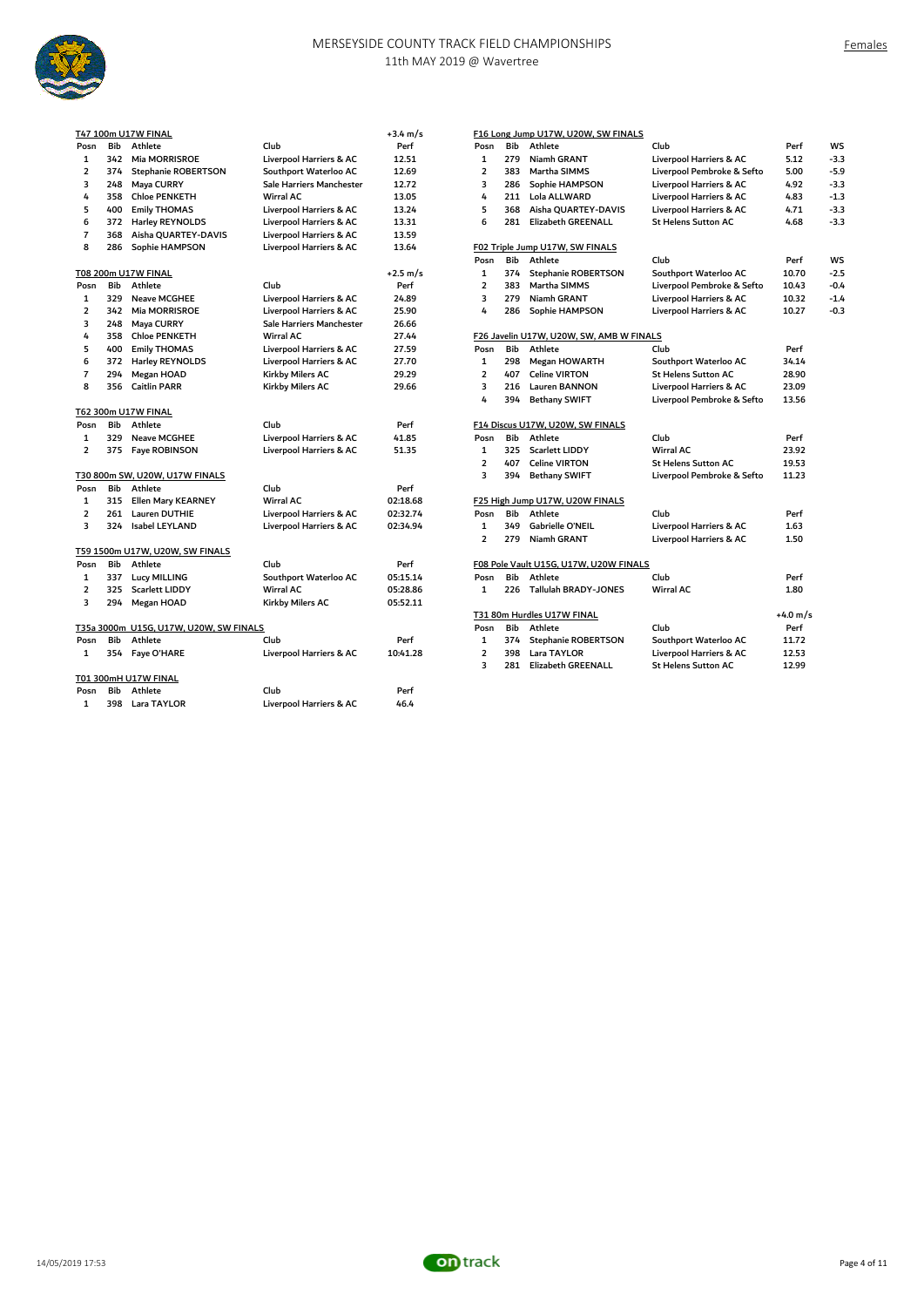

|     |                       |                                                                                                                                                                                                                              | $+3.4 \text{ m/s}$                     |                         |     |                            |                                                                                                                                                    |                                                                                                                           |
|-----|-----------------------|------------------------------------------------------------------------------------------------------------------------------------------------------------------------------------------------------------------------------|----------------------------------------|-------------------------|-----|----------------------------|----------------------------------------------------------------------------------------------------------------------------------------------------|---------------------------------------------------------------------------------------------------------------------------|
| Bib | Athlete               | Club                                                                                                                                                                                                                         | Perf                                   | Posn                    | Bib | Athlete                    | Club                                                                                                                                               | Perf                                                                                                                      |
| 342 | <b>Mia MORRISROE</b>  | Liverpool Harriers & AC                                                                                                                                                                                                      | 12.51                                  | $\mathbf{1}$            | 279 | Niamh GRANT                | Liverpool Harriers & AC                                                                                                                            | 5.12                                                                                                                      |
| 374 | Stephanie ROBERTSON   | Southport Waterloo AC                                                                                                                                                                                                        | 12.69                                  | $\overline{2}$          | 383 | Martha SIMMS               | Liverpool Pembroke & Sefto                                                                                                                         | 5.00                                                                                                                      |
| 248 | Maya CURRY            | Sale Harriers Manchester                                                                                                                                                                                                     | 12.72                                  | 3                       | 286 | Sophie HAMPSON             | Liverpool Harriers & AC                                                                                                                            | 4.92                                                                                                                      |
| 358 | <b>Chloe PENKETH</b>  | Wirral AC                                                                                                                                                                                                                    | 13.05                                  | 4                       | 211 | Lola ALLWARD               | Liverpool Harriers & AC                                                                                                                            | 4.83                                                                                                                      |
| 400 | <b>Emily THOMAS</b>   | Liverpool Harriers & AC                                                                                                                                                                                                      | 13.24                                  | 5                       | 368 | Aisha QUARTEY-DAVIS        | Liverpool Harriers & AC                                                                                                                            | 4.71                                                                                                                      |
| 372 | Harley REYNOLDS       | Liverpool Harriers & AC                                                                                                                                                                                                      | 13.31                                  | 6                       | 281 | <b>Elizabeth GREENALL</b>  | <b>St Helens Sutton AC</b>                                                                                                                         | 4.68                                                                                                                      |
| 368 | Aisha QUARTEY-DAVIS   | Liverpool Harriers & AC                                                                                                                                                                                                      | 13.59                                  |                         |     |                            |                                                                                                                                                    |                                                                                                                           |
| 286 | Sophie HAMPSON        | Liverpool Harriers & AC                                                                                                                                                                                                      | 13.64                                  |                         |     |                            |                                                                                                                                                    |                                                                                                                           |
|     |                       |                                                                                                                                                                                                                              |                                        | Posn                    | Bib | Athlete                    | Club                                                                                                                                               | Perf                                                                                                                      |
|     |                       |                                                                                                                                                                                                                              | $+2.5$ m/s                             | $\mathbf{1}$            | 374 | <b>Stephanie ROBERTSON</b> | Southport Waterloo AC                                                                                                                              | 10.70                                                                                                                     |
| Bib | Athlete               | Club                                                                                                                                                                                                                         | Perf                                   | $\overline{2}$          | 383 | Martha SIMMS               | Liverpool Pembroke & Sefto                                                                                                                         | 10.43                                                                                                                     |
| 329 | <b>Neave MCGHEE</b>   | Liverpool Harriers & AC                                                                                                                                                                                                      | 24.89                                  | 3                       | 279 | Niamh GRANT                | Liverpool Harriers & AC                                                                                                                            | 10.32                                                                                                                     |
| 342 | <b>Mia MORRISROE</b>  | Liverpool Harriers & AC                                                                                                                                                                                                      | 25.90                                  | 4                       | 286 | Sophie HAMPSON             | Liverpool Harriers & AC                                                                                                                            | 10.27                                                                                                                     |
| 248 | Maya CURRY            | Sale Harriers Manchester                                                                                                                                                                                                     | 26.66                                  |                         |     |                            |                                                                                                                                                    |                                                                                                                           |
| 358 | <b>Chloe PENKETH</b>  | <b>Wirral AC</b>                                                                                                                                                                                                             | 27.44                                  |                         |     |                            |                                                                                                                                                    |                                                                                                                           |
| 400 | <b>Emily THOMAS</b>   | Liverpool Harriers & AC                                                                                                                                                                                                      | 27.59                                  | Posn                    | Bib | Athlete                    | Club                                                                                                                                               | Perf                                                                                                                      |
| 372 | Harley REYNOLDS       | Liverpool Harriers & AC                                                                                                                                                                                                      | 27.70                                  | $\mathbf{1}$            | 298 | Megan HOWARTH              | Southport Waterloo AC                                                                                                                              | 34.14                                                                                                                     |
| 294 | Megan HOAD            | Kirkby Milers AC                                                                                                                                                                                                             | 29.29                                  | $\overline{2}$          | 407 | <b>Celine VIRTON</b>       | <b>St Helens Sutton AC</b>                                                                                                                         | 28.90                                                                                                                     |
| 356 | <b>Caitlin PARR</b>   | Kirkby Milers AC                                                                                                                                                                                                             | 29.66                                  | 3                       | 216 | <b>Lauren BANNON</b>       | <b>Liverpool Harriers &amp; AC</b>                                                                                                                 | 23.09                                                                                                                     |
|     |                       |                                                                                                                                                                                                                              |                                        | 4                       | 394 | <b>Bethany SWIFT</b>       | Liverpool Pembroke & Sefto                                                                                                                         | 13.56                                                                                                                     |
|     |                       |                                                                                                                                                                                                                              |                                        |                         |     |                            |                                                                                                                                                    |                                                                                                                           |
| Bib | Athlete               | Club                                                                                                                                                                                                                         | Perf                                   |                         |     |                            |                                                                                                                                                    |                                                                                                                           |
| 329 | <b>Neave MCGHEE</b>   | Liverpool Harriers & AC                                                                                                                                                                                                      | 41.85                                  | Posn                    | Bib | Athlete                    | Club                                                                                                                                               | Perf                                                                                                                      |
|     |                       | Liverpool Harriers & AC                                                                                                                                                                                                      | 51.35                                  | $\mathbf{1}$            | 325 | <b>Scarlett LIDDY</b>      | <b>Wirral AC</b>                                                                                                                                   | 23.92                                                                                                                     |
|     |                       |                                                                                                                                                                                                                              |                                        | $\overline{2}$          | 407 | <b>Celine VIRTON</b>       | <b>St Helens Sutton AC</b>                                                                                                                         | 19.53                                                                                                                     |
|     |                       |                                                                                                                                                                                                                              |                                        | 3                       | 394 | <b>Bethany SWIFT</b>       | Liverpool Pembroke & Sefto                                                                                                                         | 11.23                                                                                                                     |
| Bib | Athlete               | Club                                                                                                                                                                                                                         | Perf                                   |                         |     |                            |                                                                                                                                                    |                                                                                                                           |
| 315 | Ellen Mary KEARNEY    | Wirral AC                                                                                                                                                                                                                    | 02:18.68                               |                         |     |                            |                                                                                                                                                    |                                                                                                                           |
| 261 | Lauren DUTHIE         | Liverpool Harriers & AC                                                                                                                                                                                                      | 02:32.74                               | Posn                    | Bib | Athlete                    | Club                                                                                                                                               | Perf                                                                                                                      |
| 324 | Isabel LEYLAND        | Liverpool Harriers & AC                                                                                                                                                                                                      | 02:34.94                               | $\mathbf{1}$            | 349 | Gabrielle O'NEIL           | Liverpool Harriers & AC                                                                                                                            | 1.63                                                                                                                      |
|     |                       |                                                                                                                                                                                                                              |                                        | $\overline{2}$          | 279 | Niamh GRANT                | Liverpool Harriers & AC                                                                                                                            | 1.50                                                                                                                      |
|     |                       |                                                                                                                                                                                                                              |                                        |                         |     |                            |                                                                                                                                                    |                                                                                                                           |
| Bib | Athlete               | Club                                                                                                                                                                                                                         | Perf                                   |                         |     |                            |                                                                                                                                                    |                                                                                                                           |
| 337 | <b>Lucy MILLING</b>   | Southport Waterloo AC                                                                                                                                                                                                        | 05:15.14                               | Posn                    | Bib | Athlete                    | Club                                                                                                                                               | Perf                                                                                                                      |
| 325 | <b>Scarlett LIDDY</b> | <b>Wirral AC</b>                                                                                                                                                                                                             | 05:28.86                               | $\mathbf{1}$            |     | Tallulah BRADY-JONES       | Wirral AC                                                                                                                                          | 1.80                                                                                                                      |
| 294 | Megan HOAD            | Kirkby Milers AC                                                                                                                                                                                                             | 05:52.11                               |                         |     |                            |                                                                                                                                                    |                                                                                                                           |
|     |                       |                                                                                                                                                                                                                              |                                        |                         |     |                            |                                                                                                                                                    | $+4.0 m$                                                                                                                  |
|     |                       |                                                                                                                                                                                                                              |                                        | Posn                    | Bib | Athlete                    | Club                                                                                                                                               | Perf                                                                                                                      |
| Bib | Athlete               | Club                                                                                                                                                                                                                         | Perf                                   | $\mathbf{1}$            | 374 | <b>Stephanie ROBERTSON</b> | Southport Waterloo AC                                                                                                                              | 11.72                                                                                                                     |
|     |                       | Liverpool Harriers & AC                                                                                                                                                                                                      | 10:41.28                               | $\overline{\mathbf{2}}$ | 398 | Lara TAYLOR                | Liverpool Harriers & AC                                                                                                                            | 12.53                                                                                                                     |
|     |                       |                                                                                                                                                                                                                              |                                        | 3                       |     | <b>Elizabeth GREENALL</b>  | <b>St Helens Sutton AC</b>                                                                                                                         | 12.99                                                                                                                     |
|     |                       |                                                                                                                                                                                                                              |                                        |                         |     |                            |                                                                                                                                                    |                                                                                                                           |
| Bib | Athlete               | Club                                                                                                                                                                                                                         | Perf                                   |                         |     |                            |                                                                                                                                                    |                                                                                                                           |
| 398 |                       | Liverpool Harriers & AC                                                                                                                                                                                                      | 46.4                                   |                         |     |                            |                                                                                                                                                    |                                                                                                                           |
|     |                       | T47 100m U17W FINAL<br>T08 200m U17W FINAL<br>T62 300m U17W FINAL<br>375 Faye ROBINSON<br>T30 800m SW, U20W, U17W FINALS<br>T59 1500m U17W, U20W, SW FINALS<br>354 Faye O'HARE<br>T01 300mH U17W FINAL<br><b>Lara TAYLOR</b> | T35a 3000m U15G, U17W, U20W, SW FINALS |                         |     |                            | F02 Triple Jump U17W, SW FINALS<br>F14 Discus U17W, U20W, SW FINALS<br>F25 High Jump U17W, U20W FINALS<br>226<br>T31 80m Hurdles U17W FINAL<br>281 | F16 Long Jump U17W, U20W, SW FINALS<br>F26 Javelin U17W, U20W, SW, AMB W FINALS<br>F08 Pole Vault U15G, U17W, U20W FINALS |

|                |            | T47 100m U17W FINAL                    |                                    | $+3.4 \text{ m/s}$ |                |     | F16 Long Jump U17W, U20W, SW FINALS      |                                    |          |        |
|----------------|------------|----------------------------------------|------------------------------------|--------------------|----------------|-----|------------------------------------------|------------------------------------|----------|--------|
| Posn           | Bib        | Athlete                                | Club                               | Perf               | Posn           | Bib | Athlete                                  | Club                               | Perf     | WS     |
| 1              | 342        | Mia MORRISROE                          | <b>Liverpool Harriers &amp; AC</b> | 12.51              | $\mathbf{1}$   | 279 | Niamh GRANT                              | <b>Liverpool Harriers &amp; AC</b> | 5.12     | $-3.3$ |
| $\overline{2}$ | 374        | <b>Stephanie ROBERTSON</b>             | Southport Waterloo AC              | 12.69              | $\overline{2}$ | 383 | Martha SIMMS                             | Liverpool Pembroke & Sefto         | 5.00     | $-5.9$ |
| 3              | 248        | Maya CURRY                             | Sale Harriers Manchester           | 12.72              | 3              | 286 | Sophie HAMPSON                           | Liverpool Harriers & AC            | 4.92     | $-3.3$ |
| 4              | 358        | <b>Chloe PENKETH</b>                   | Wirral AC                          | 13.05              | 4              | 211 | Lola ALLWARD                             | Liverpool Harriers & AC            | 4.83     | $-1.3$ |
| 5              | 400        | <b>Emily THOMAS</b>                    | Liverpool Harriers & AC            | 13.24              | 5              | 368 | Aisha OUARTEY-DAVIS                      | Liverpool Harriers & AC            | 4.71     | $-3.3$ |
| 6              | 372        | Harley REYNOLDS                        | Liverpool Harriers & AC            | 13.31              | 6              | 281 | <b>Elizabeth GREENALL</b>                | <b>St Helens Sutton AC</b>         | 4.68     | $-3.3$ |
| $\overline{7}$ | 368        | Aisha QUARTEY-DAVIS                    | Liverpool Harriers & AC            | 13.59              |                |     |                                          |                                    |          |        |
| 8              | 286        | Sophie HAMPSON                         | Liverpool Harriers & AC            | 13.64              |                |     | F02 Triple Jump U17W, SW FINALS          |                                    |          |        |
|                |            |                                        |                                    |                    | Posn           | Bib | Athlete                                  | Club                               | Perf     | WS     |
|                |            | T08 200m U17W FINAL                    |                                    | +2.5 m/s           | $\mathbf{1}$   | 374 | <b>Stephanie ROBERTSON</b>               | Southport Waterloo AC              | 10.70    | $-2.5$ |
| Posn           | Bib        | Athlete                                | Club                               | Perf               | $\overline{2}$ | 383 | Martha SIMMS                             | Liverpool Pembroke & Sefto         | 10.43    | $-0.4$ |
| $\mathbf{1}$   | 329        | <b>Neave MCGHEE</b>                    | <b>Liverpool Harriers &amp; AC</b> | 24.89              | 3              | 279 | Niamh GRANT                              | Liverpool Harriers & AC            | 10.32    | $-1.4$ |
| $\overline{2}$ | 342        | Mia MORRISROE                          | Liverpool Harriers & AC            | 25.90              | 4              | 286 | Sophie HAMPSON                           | Liverpool Harriers & AC            | 10.27    | $-0.3$ |
| 3              | 248        | Maya CURRY                             | Sale Harriers Manchester           | 26.66              |                |     |                                          |                                    |          |        |
| 4              | 358        | <b>Chloe PENKETH</b>                   | <b>Wirral AC</b>                   | 27.44              |                |     | F26 Javelin U17W, U20W, SW, AMB W FINALS |                                    |          |        |
| 5              | 400        | <b>Emily THOMAS</b>                    | Liverpool Harriers & AC            | 27.59              | Posn           | Bib | Athlete                                  | Club                               | Perf     |        |
| 6              | 372        | <b>Harley REYNOLDS</b>                 | Liverpool Harriers & AC            | 27.70              | $\mathbf{1}$   | 298 | Megan HOWARTH                            | Southport Waterloo AC              | 34.14    |        |
| $\overline{7}$ | 294        | Megan HOAD                             | Kirkby Milers AC                   | 29.29              | $\overline{2}$ | 407 | <b>Celine VIRTON</b>                     | <b>St Helens Sutton AC</b>         | 28.90    |        |
| 8              | 356        | <b>Caitlin PARR</b>                    | Kirkby Milers AC                   | 29.66              | 3              | 216 | <b>Lauren BANNON</b>                     | Liverpool Harriers & AC            | 23.09    |        |
|                |            |                                        |                                    |                    | 4              | 394 | <b>Bethany SWIFT</b>                     | Liverpool Pembroke & Sefto         | 13.56    |        |
|                |            | T62 300m U17W FINAL                    |                                    |                    |                |     |                                          |                                    |          |        |
| Posn           | Bib        | Athlete                                | Club                               | Perf               |                |     | F14 Discus U17W, U20W, SW FINALS         |                                    |          |        |
| 1              | 329        | <b>Neave MCGHEE</b>                    | Liverpool Harriers & AC            | 41.85              | Posn           | Bib | Athlete                                  | Club                               | Perf     |        |
| $\overline{2}$ | 375        | Faye ROBINSON                          | Liverpool Harriers & AC            | 51.35              | $\mathbf{1}$   | 325 | <b>Scarlett LIDDY</b>                    | <b>Wirral AC</b>                   | 23.92    |        |
|                |            |                                        |                                    |                    | $\overline{2}$ | 407 | <b>Celine VIRTON</b>                     | <b>St Helens Sutton AC</b>         | 19.53    |        |
|                |            | T30 800m SW, U20W, U17W FINALS         |                                    |                    | 3              | 394 | <b>Bethany SWIFT</b>                     | Liverpool Pembroke & Sefto         | 11.23    |        |
| Posn           | Bib        | Athlete                                | Club                               | Perf               |                |     |                                          |                                    |          |        |
| 1              | 315        | Ellen Mary KEARNEY                     | Wirral AC                          | 02:18.68           |                |     | F25 High Jump U17W, U20W FINALS          |                                    |          |        |
| $\overline{2}$ | 261        | <b>Lauren DUTHIE</b>                   | Liverpool Harriers & AC            | 02:32.74           | Posn           | Bib | Athlete                                  | Club                               | Perf     |        |
| 3              | 324        | <b>Isabel LEYLAND</b>                  | Liverpool Harriers & AC            | 02:34.94           | $\mathbf{1}$   | 349 | Gabrielle O'NEIL                         | <b>Liverpool Harriers &amp; AC</b> | 1.63     |        |
|                |            |                                        |                                    |                    | $\overline{2}$ | 279 | Niamh GRANT                              | Liverpool Harriers & AC            | 1.50     |        |
|                |            | T59 1500m U17W, U20W, SW FINALS        |                                    |                    |                |     |                                          |                                    |          |        |
| Posn           | <b>Bib</b> | Athlete                                | Club                               | Perf               |                |     | F08 Pole Vault U15G, U17W, U20W FINALS   |                                    |          |        |
| 1              | 337        | Lucy MILLING                           | Southport Waterloo AC              | 05:15.14           | Posn           | Bib | Athlete                                  | Club                               | Perf     |        |
| $\overline{2}$ | 325        | <b>Scarlett LIDDY</b>                  | <b>Wirral AC</b>                   | 05:28.86           | $\mathbf{1}$   |     | 226 Tallulah BRADY-JONES                 | Wirral AC                          | 1.80     |        |
| 3              | 294        | Megan HOAD                             | Kirkby Milers AC                   | 05:52.11           |                |     |                                          |                                    |          |        |
|                |            |                                        |                                    |                    |                |     | T31 80m Hurdles U17W FINAL               |                                    | +4.0 m/s |        |
|                |            | T35a 3000m U15G, U17W, U20W, SW FINALS |                                    |                    | Posn           | Bib | Athlete                                  | Club                               | Perf     |        |
| Posn           | Bib        | Athlete                                | Club                               | Perf               | 1              | 374 | <b>Stephanie ROBERTSON</b>               | Southport Waterloo AC              | 11.72    |        |
| 1              | 354        | Faye O'HARE                            | Liverpool Harriers & AC            | 10:41.28           | $\overline{2}$ | 398 | Lara TAYLOR                              | Liverpool Harriers & AC            | 12.53    |        |
|                |            |                                        |                                    |                    | 3              | 281 | <b>Elizabeth GREENALL</b>                | <b>St Helens Sutton AC</b>         | 12.99    |        |
|                |            |                                        |                                    |                    |                |     |                                          |                                    |          |        |

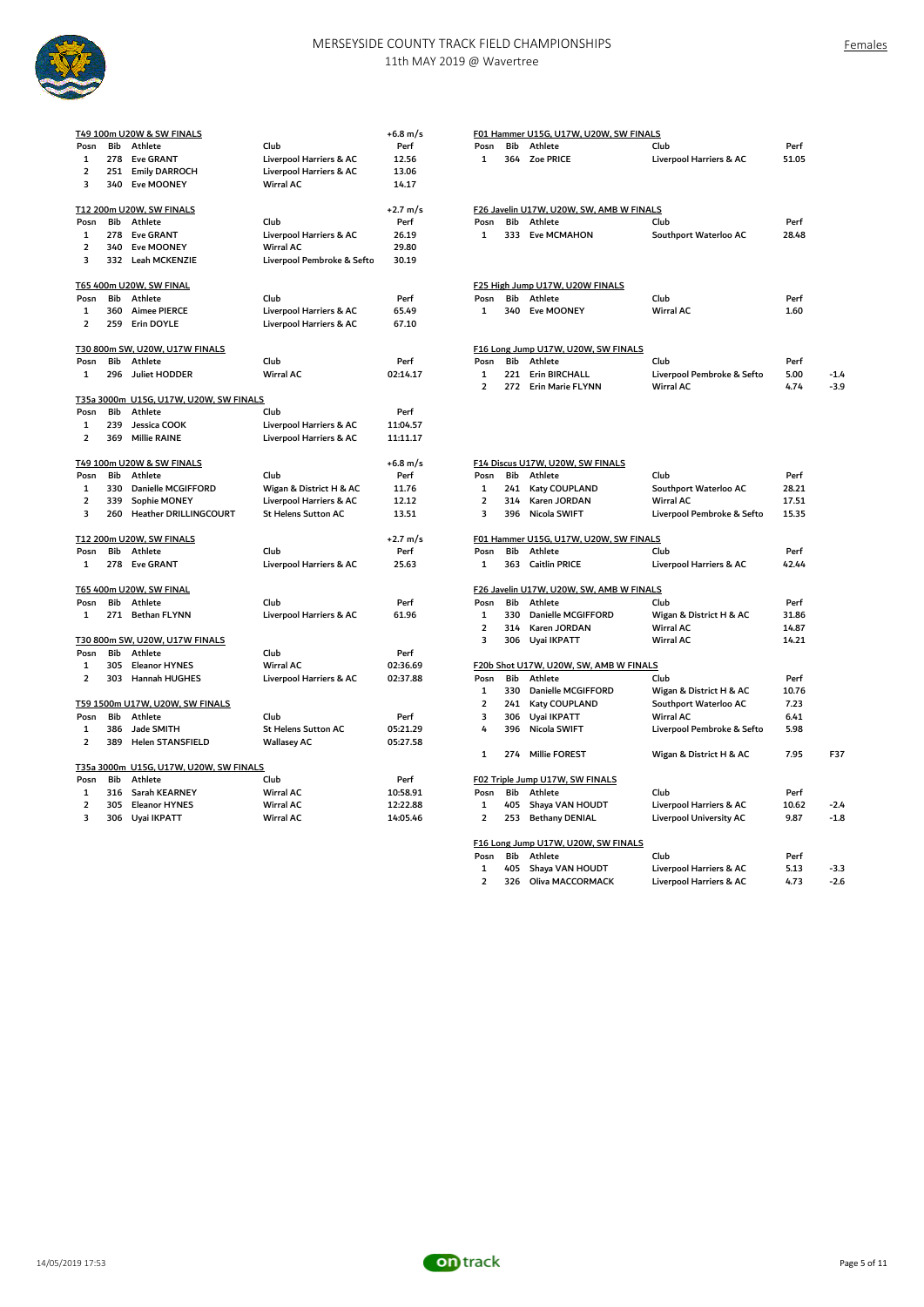

Females

|                              | Bib        | T49 100m U20W & SW FINALS<br>Athlete         | Club                                               | $+6.8 \text{ m/s}$<br>Perf |                         | Bib | F01 Hammer U15G, U17W, U20W, SW FINALS<br>Athlete |                                                  | Perf  |
|------------------------------|------------|----------------------------------------------|----------------------------------------------------|----------------------------|-------------------------|-----|---------------------------------------------------|--------------------------------------------------|-------|
| Posn                         |            |                                              |                                                    |                            | Posn                    |     |                                                   | Club                                             |       |
| 1<br>$\overline{\mathbf{2}}$ | 278<br>251 | <b>Eve GRANT</b><br><b>Emily DARROCH</b>     | Liverpool Harriers & AC<br>Liverpool Harriers & AC | 12.56<br>13.06             | $\mathbf{1}$            | 364 | <b>Zoe PRICE</b>                                  | Liverpool Harriers & AC                          | 51.05 |
| 3                            |            | 340 Eve MOONEY                               | <b>Wirral AC</b>                                   | 14.17                      |                         |     |                                                   |                                                  |       |
|                              |            |                                              |                                                    |                            |                         |     |                                                   |                                                  |       |
|                              |            | T12 200m U20W, SW FINALS                     |                                                    | $+2.7 \text{ m/s}$         |                         |     | F26 Javelin U17W, U20W, SW, AMB W FINALS          |                                                  |       |
| Posn                         | Bib        | Athlete                                      | Club                                               | Perf                       | Posn                    | Bib | Athlete                                           | Club                                             | Perf  |
| $\mathbf{1}$                 | 278        | <b>Eve GRANT</b>                             | Liverpool Harriers & AC                            | 26.19                      | $\mathbf{1}$            | 333 | <b>Eve MCMAHON</b>                                | Southport Waterloo AC                            | 28.48 |
| $\overline{\mathbf{2}}$      | 340        | Eve MOONEY                                   | Wirral AC                                          | 29.80                      |                         |     |                                                   |                                                  |       |
| 3                            |            | 332 Leah MCKENZIE                            | Liverpool Pembroke & Sefto                         | 30.19                      |                         |     |                                                   |                                                  |       |
|                              |            | T65 400m U20W, SW FINAL                      |                                                    |                            |                         |     | F25 High Jump U17W, U20W FINALS                   |                                                  |       |
| Posn                         | Bib        | Athlete                                      | Club                                               | Perf                       | Posn                    | Bib | Athlete                                           | Club                                             | Perf  |
| $\mathbf{1}$                 | 360        | <b>Aimee PIERCE</b>                          | Liverpool Harriers & AC                            | 65.49                      | $\mathbf{1}$            | 340 | Eve MOONEY                                        | <b>Wirral AC</b>                                 | 1.60  |
| $\overline{\mathbf{2}}$      | 259        | Erin DOYLE                                   | Liverpool Harriers & AC                            | 67.10                      |                         |     |                                                   |                                                  |       |
|                              |            | T30 800m SW, U20W, U17W FINALS               |                                                    |                            |                         |     | F16 Long Jump U17W, U20W, SW FINALS               |                                                  |       |
| Posn                         | <b>Bib</b> | Athlete                                      | Club                                               | Perf                       | Posn                    | Bib | Athlete                                           | Club                                             | Perf  |
| $\mathbf{1}$                 | 296        | <b>Juliet HODDER</b>                         | <b>Wirral AC</b>                                   | 02:14.17                   | $\mathbf{1}$            | 221 | <b>Erin BIRCHALL</b>                              | Liverpool Pembroke & Sefto                       | 5.00  |
|                              |            |                                              |                                                    |                            | $\overline{2}$          | 272 | Erin Marie FLYNN                                  | <b>Wirral AC</b>                                 | 4.74  |
|                              |            | T35a 3000m U15G, U17W, U20W, SW FINALS       |                                                    |                            |                         |     |                                                   |                                                  |       |
| Posn                         | Bib        | Athlete                                      | Club                                               | Perf                       |                         |     |                                                   |                                                  |       |
| 1                            | 239        | Jessica COOK                                 | Liverpool Harriers & AC                            | 11:04.57                   |                         |     |                                                   |                                                  |       |
| $\overline{\mathbf{2}}$      | 369        | <b>Millie RAINE</b>                          | Liverpool Harriers & AC                            | 11:11.17                   |                         |     |                                                   |                                                  |       |
|                              |            | T49 100m U20W & SW FINALS                    |                                                    | +6.8 m/s                   |                         |     | F14 Discus U17W, U20W, SW FINALS                  |                                                  |       |
| Posn                         | Bib        | Athlete                                      | Club                                               | Perf                       | Posn                    | Bib | Athlete                                           | Club                                             | Perf  |
| 1                            | 330        | Danielle MCGIFFORD                           | Wigan & District H & AC                            | 11.76                      | 1                       | 241 | Katy COUPLAND                                     | Southport Waterloo AC                            | 28.21 |
| $\overline{2}$               | 339        | Sophie MONEY                                 | Liverpool Harriers & AC                            | 12.12                      | $\overline{2}$          | 314 | Karen JORDAN                                      | <b>Wirral AC</b>                                 | 17.51 |
| 3                            | 260        | Heather DRILLINGCOURT                        | <b>St Helens Sutton AC</b>                         | 13.51                      | 3                       | 396 | Nicola SWIFT                                      | Liverpool Pembroke & Sefto                       | 15.35 |
|                              |            | T12 200m U20W, SW FINALS                     |                                                    | $+2.7 \text{ m/s}$         |                         |     | F01 Hammer U15G, U17W, U20W, SW FINALS            |                                                  |       |
| Posn                         | Bib        | Athlete                                      | Club                                               | Perf                       | Posn                    | Bib | Athlete                                           | Club                                             | Perf  |
| $\mathbf{1}$                 |            | 278 Eve GRANT                                | Liverpool Harriers & AC                            | 25.63                      | 1                       | 363 | <b>Caitlin PRICE</b>                              | Liverpool Harriers & AC                          | 42.44 |
|                              |            | T65 400m U20W, SW FINAL                      |                                                    |                            |                         |     | F26 Javelin U17W, U20W, SW, AMB W FINALS          |                                                  |       |
| Posn                         | Bib        | Athlete                                      | Club                                               | Perf                       | Posn                    | Bib | Athlete                                           | Club                                             | Perf  |
| $\mathbf{1}$                 | 271        | <b>Bethan FLYNN</b>                          | Liverpool Harriers & AC                            | 61.96                      | $\mathbf{1}$            | 330 | Danielle MCGIFFORD                                | Wigan & District H & AC                          | 31.86 |
|                              |            |                                              |                                                    |                            | $\overline{\mathbf{2}}$ | 314 | Karen JORDAN                                      | <b>Wirral AC</b>                                 | 14.87 |
|                              |            | T30 800m SW, U20W, U17W FINALS               |                                                    |                            | 3                       | 306 | Uyai IKPATT                                       | <b>Wirral AC</b>                                 | 14.21 |
| Posn                         | Bib        | Athlete                                      | Club                                               | Perf                       |                         |     |                                                   |                                                  |       |
| 1<br>$\overline{2}$          | 305<br>303 | <b>Eleanor HYNES</b><br><b>Hannah HUGHES</b> | <b>Wirral AC</b><br>Liverpool Harriers & AC        | 02:36.69<br>02:37.88       | Posn                    | Bib | F20b Shot U17W, U20W, SW, AMB W FINALS<br>Athlete | Club                                             | Perf  |
|                              |            |                                              |                                                    |                            | $\mathbf{1}$            | 330 | Danielle MCGIFFORD                                |                                                  | 10.76 |
|                              |            | T59 1500m U17W, U20W, SW FINALS              |                                                    |                            | $\overline{2}$          | 241 | Katy COUPLAND                                     | Wigan & District H & AC<br>Southport Waterloo AC | 7.23  |
| Posn                         | Bib        | Athlete                                      | Club                                               | Perf                       | 3                       | 306 | Uyai IKPATT                                       | <b>Wirral AC</b>                                 | 6.41  |
| $\mathbf{1}$                 | 386        | Jade SMITH                                   | <b>St Helens Sutton AC</b>                         | 05:21.29                   | 4                       | 396 | Nicola SWIFT                                      | Liverpool Pembroke & Sefto                       | 5.98  |
| $\overline{\mathbf{2}}$      | 389        | <b>Helen STANSFIELD</b>                      | <b>Wallasey AC</b>                                 | 05:27.58                   |                         |     |                                                   |                                                  |       |
|                              |            |                                              |                                                    |                            | 1                       | 274 | <b>Millie FOREST</b>                              | Wigan & District H & AC                          | 7.95  |
|                              |            | T35a 3000m U15G, U17W, U20W, SW FINALS       |                                                    |                            |                         |     |                                                   |                                                  |       |
| Posn                         | Bib        | Athlete                                      | Club                                               | Perf                       |                         |     | F02 Triple Jump U17W, SW FINALS                   |                                                  |       |
| $\mathbf{1}$                 | 316        | Sarah KEARNEY                                | <b>Wirral AC</b>                                   | 10:58.91                   | Posn                    | Bib | Athlete                                           | Club                                             | Perf  |
| $\overline{\mathbf{2}}$      | 305        | <b>Eleanor HYNES</b>                         | <b>Wirral AC</b>                                   | 12:22.88                   | $\mathbf{1}$            | 405 | Shaya VAN HOUDT                                   | Liverpool Harriers & AC                          | 10.62 |
| 3                            |            | 306 Uyai IKPATT                              | <b>Wirral AC</b>                                   | 14:05.46                   | $\overline{2}$          | 253 | <b>Bethany DENIAL</b>                             | <b>Liverpool University AC</b>                   | 9.87  |
|                              |            |                                              |                                                    |                            |                         |     |                                                   |                                                  |       |

| วรท      | Bib        | Athlete                                         | Club                                             | Pert                 | Posn                    | Bib | Athlete                                    | Club                                               | Pert  |        |
|----------|------------|-------------------------------------------------|--------------------------------------------------|----------------------|-------------------------|-----|--------------------------------------------|----------------------------------------------------|-------|--------|
| 1        | 278        | <b>Eve GRANT</b>                                | Liverpool Harriers & AC                          | 12.56                | $\mathbf{1}$            |     | 364 Zoe PRICE                              | Liverpool Harriers & AC                            | 51.05 |        |
| 2        | 251        | <b>Emily DARROCH</b>                            | Liverpool Harriers & AC                          | 13.06                |                         |     |                                            |                                                    |       |        |
| 3        | 340        | Eve MOONEY                                      | Wirral AC                                        | 14.17                |                         |     |                                            |                                                    |       |        |
|          |            | 2 200m U20W, SW FINALS                          |                                                  | $+2.7 \text{ m/s}$   |                         |     | F26 Javelin U17W, U20W, SW, AMB W FINALS   |                                                    |       |        |
| osn      | Bib        | Athlete                                         | Club                                             | Perf                 | Posn                    | Bib | Athlete                                    | Club                                               | Perf  |        |
| 1        | 278        | <b>Eve GRANT</b>                                | Liverpool Harriers & AC                          | 26.19                | $\mathbf{1}$            | 333 | <b>Eve MCMAHON</b>                         | Southport Waterloo AC                              | 28.48 |        |
| 2        | 340        | <b>Eve MOONEY</b>                               | <b>Wirral AC</b>                                 | 29.80                |                         |     |                                            |                                                    |       |        |
| 3        | 332        | Leah MCKENZIE                                   | Liverpool Pembroke & Sefto                       | 30.19                |                         |     |                                            |                                                    |       |        |
|          |            | 5 400m U20W, SW FINAL                           |                                                  |                      |                         |     | F25 High Jump U17W, U20W FINALS            |                                                    |       |        |
| osn      | Bib        | Athlete                                         | Club                                             | Perf                 | Posn                    | Bib | Athlete                                    | Club                                               | Perf  |        |
| 1        | 360        | <b>Aimee PIERCE</b>                             | Liverpool Harriers & AC                          | 65.49                | 1                       | 340 | Eve MOONEY                                 | <b>Wirral AC</b>                                   | 1.60  |        |
| 2        | 259        | Erin DOYLE                                      | Liverpool Harriers & AC                          | 67.10                |                         |     |                                            |                                                    |       |        |
|          |            | 0800m SW, U20W, U17W FINALS                     |                                                  |                      |                         |     | F16 Long Jump U17W, U20W, SW FINALS        |                                                    |       |        |
| วรท      | Bib        | Athlete                                         | Club                                             | Perf                 | Posn                    | Bib | Athlete                                    | Club                                               | Perf  |        |
| 1        | 296        | Juliet HODDER                                   | Wirral AC                                        | 02:14.17             | $\mathbf{1}$            | 221 | <b>Erin BIRCHALL</b>                       | Liverpool Pembroke & Sefto                         | 5.00  | $-1.4$ |
|          |            |                                                 |                                                  |                      | $\overline{2}$          | 272 | Erin Marie FLYNN                           | Wirral AC                                          | 4.74  | $-3.9$ |
|          |            | 5a 3000m U15G, U17W, U20W, SW FINALS            |                                                  |                      |                         |     |                                            |                                                    |       |        |
| วรท      | Bib        | Athlete                                         | Club                                             | Perf                 |                         |     |                                            |                                                    |       |        |
| 1        | 239        | Jessica COOK                                    | Liverpool Harriers & AC                          | 11:04.57             |                         |     |                                            |                                                    |       |        |
| 2        | 369        | <b>Millie RAINE</b>                             | Liverpool Harriers & AC                          | 11:11.17             |                         |     |                                            |                                                    |       |        |
|          |            | 9 100m U20W & SW FINALS                         |                                                  | $+6.8 \text{ m/s}$   |                         |     | F14 Discus U17W, U20W, SW FINALS           |                                                    |       |        |
| วรท      | Bib        | Athlete                                         | Club                                             | Perf                 | Posn                    | Bib | Athlete                                    | Club                                               | Perf  |        |
| 1        | 330        | Danielle MCGIFFORD                              | Wigan & District H & AC                          | 11.76                | 1                       | 241 | Katy COUPLAND                              | Southport Waterloo AC                              | 28.21 |        |
| 2        | 339        | Sophie MONEY                                    | Liverpool Harriers & AC                          | 12.12                | $\overline{2}$          | 314 | Karen JORDAN                               | <b>Wirral AC</b>                                   | 17.51 |        |
| 3        | 260        | Heather DRILLINGCOURT                           | <b>St Helens Sutton AC</b>                       | 13.51                | 3                       | 396 | Nicola SWIFT                               | Liverpool Pembroke & Sefto                         | 15.35 |        |
|          |            | 2 200m U20W, SW FINALS                          |                                                  | $+2.7 \text{ m/s}$   |                         |     | F01 Hammer U15G, U17W, U20W, SW FINALS     |                                                    |       |        |
| osn      | Bib        | Athlete                                         | Club                                             | Perf                 | Posn                    | Bib | Athlete                                    | Club                                               | Perf  |        |
| 1        | 278        | <b>Eve GRANT</b>                                | Liverpool Harriers & AC                          | 25.63                | $\mathbf{1}$            | 363 | <b>Caitlin PRICE</b>                       | Liverpool Harriers & AC                            | 42.44 |        |
|          |            | 5 400m U20W, SW FINAL                           |                                                  |                      |                         |     | F26 Javelin U17W, U20W, SW, AMB W FINALS   |                                                    |       |        |
| osn      | Bib        | Athlete                                         | Club                                             | Perf                 | Posn                    | Bib | Athlete                                    | Club                                               | Perf  |        |
| 1        | 271        | <b>Bethan FLYNN</b>                             | Liverpool Harriers & AC                          | 61.96                | $\mathbf{1}$            | 330 | Danielle MCGIFFORD                         | Wigan & District H & AC                            | 31.86 |        |
|          |            |                                                 |                                                  |                      | $\overline{\mathbf{2}}$ | 314 | Karen JORDAN                               | Wirral AC                                          | 14.87 |        |
|          |            | 0800m SW, U20W, U17W FINALS                     |                                                  |                      | 3                       | 306 | Uyai IKPATT                                | <b>Wirral AC</b>                                   | 14.21 |        |
| osn      | Bib        | Athlete                                         | Club                                             | Perf                 |                         |     |                                            |                                                    |       |        |
| 1        | 305        | <b>Eleanor HYNES</b>                            | <b>Wirral AC</b>                                 | 02:36.69             |                         |     | F20b Shot U17W, U20W, SW, AMB W FINALS     |                                                    |       |        |
| 2        | 303        | Hannah HUGHES                                   | Liverpool Harriers & AC                          | 02:37.88             | Posn                    | Bib | Athlete                                    | Club                                               | Perf  |        |
|          |            |                                                 |                                                  |                      | $\mathbf{1}$            | 330 | Danielle MCGIFFORD                         | Wigan & District H & AC                            | 10.76 |        |
|          |            | 59 1500m U17W, U20W, SW FINALS                  |                                                  |                      | $\overline{\mathbf{2}}$ | 241 | Katy COUPLAND                              | Southport Waterloo AC                              | 7.23  |        |
| osn      | Bib        | Athlete                                         | Club                                             | Perf                 | 3                       | 306 | Uyai IKPATT                                | <b>Wirral AC</b>                                   | 6.41  |        |
| 1<br>2   | 386<br>389 | <b>Jade SMITH</b><br><b>Helen STANSFIELD</b>    | <b>St Helens Sutton AC</b><br><b>Wallasey AC</b> | 05:21.29<br>05:27.58 | 4                       | 396 | Nicola SWIFT                               | Liverpool Pembroke & Sefto                         | 5.98  |        |
|          |            |                                                 |                                                  |                      | 1                       | 274 | <b>Millie FOREST</b>                       | Wigan & District H & AC                            | 7.95  | F37    |
|          |            | 5a 3000m U15G, U17W, U20W, SW FINALS<br>Athlete |                                                  |                      |                         |     |                                            |                                                    |       |        |
| osn<br>1 | Bib<br>316 | Sarah KEARNEY                                   | Club<br><b>Wirral AC</b>                         | Perf<br>10:58.91     | Posn                    | Bib | F02 Triple Jump U17W, SW FINALS<br>Athlete | Club                                               | Perf  |        |
| 2        | 305        | <b>Eleanor HYNES</b>                            | <b>Wirral AC</b>                                 | 12:22.88             | $\mathbf{1}$            | 405 |                                            |                                                    | 10.62 | $-2.4$ |
| 3        | 306        | Uyai IKPATT                                     | <b>Wirral AC</b>                                 | 14:05.46             | $\overline{2}$          | 253 | Shaya VAN HOUDT<br><b>Bethany DENIAL</b>   | Liverpool Harriers & AC<br>Liverpool University AC | 9.87  | $-1.8$ |
|          |            |                                                 |                                                  |                      |                         |     |                                            |                                                    |       |        |
|          |            |                                                 |                                                  |                      |                         |     | F16 Long Jump U17W, U20W, SW FINALS        |                                                    |       |        |
|          |            |                                                 |                                                  |                      | Posn                    | Bib | Athlete                                    | Club                                               | Perf  |        |
|          |            |                                                 |                                                  |                      | $\mathbf{1}$            | 405 | Shaya VAN HOUDT                            | Liverpool Harriers & AC                            | 5.13  | $-3.3$ |

2 326 Oliva MACCORMACK Liverpool Harriers & AC 4.73 -2.6

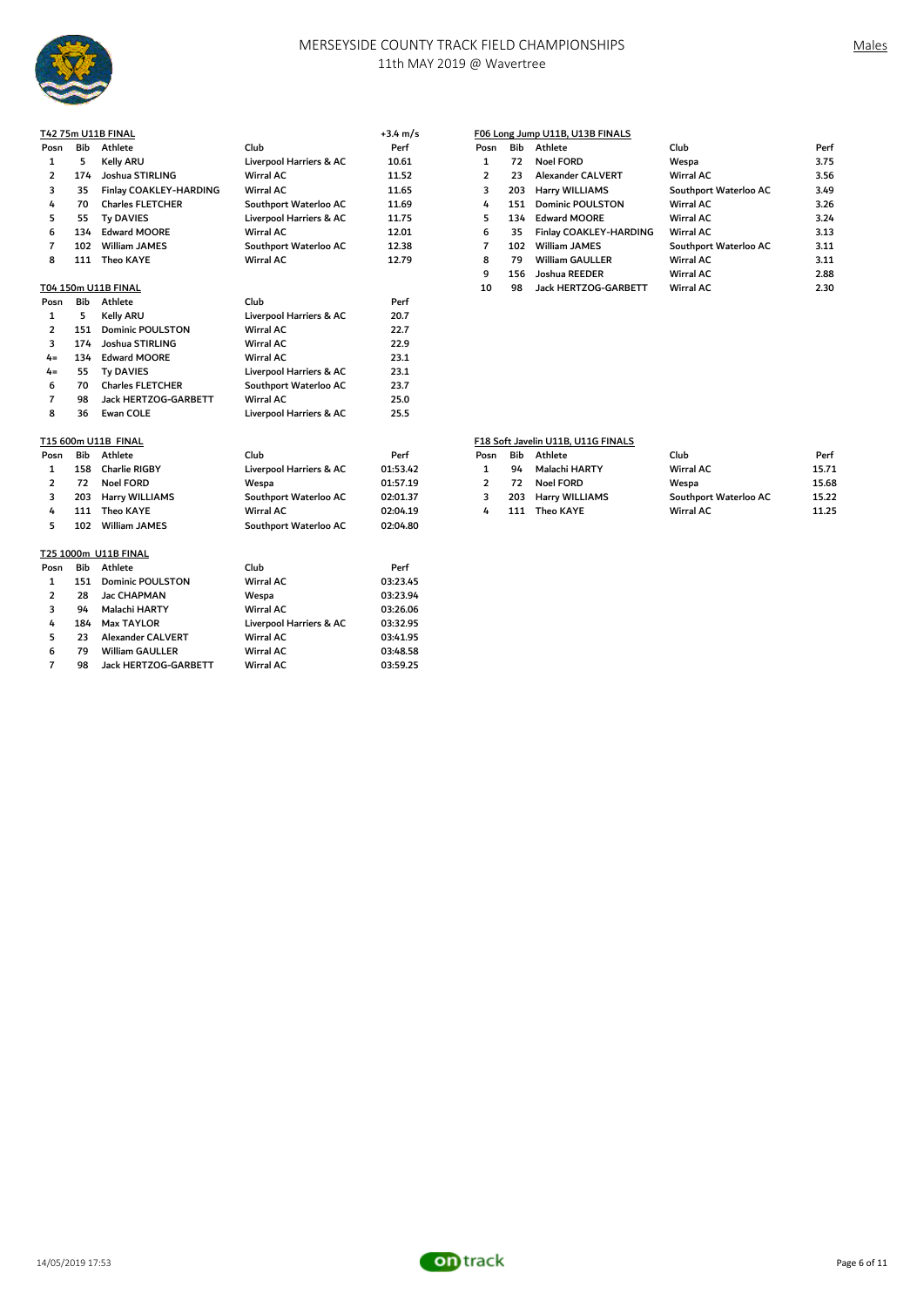

|                |     | T42 75m U11B FINAL      |                         | $+3.4 \text{ m/s}$ |                |     | F06 Long Jump U11B, U13B FINALS    |                       |       |
|----------------|-----|-------------------------|-------------------------|--------------------|----------------|-----|------------------------------------|-----------------------|-------|
| Posn           | Bib | Athlete                 | Club                    | Perf               | Posn           | Bib | Athlete                            | Club                  | Perf  |
| 1              | 5   | Kelly ARU               | Liverpool Harriers & AC | 10.61              | 1              | 72  | <b>Noel FORD</b>                   | Wespa                 | 3.75  |
| $\overline{2}$ | 174 | Joshua STIRLING         | <b>Wirral AC</b>        | 11.52              | $\overline{2}$ | 23  | <b>Alexander CALVERT</b>           | Wirral AC             | 3.56  |
| 3              | 35  | Finlay COAKLEY-HARDING  | Wirral AC               | 11.65              | 3              | 203 | Harry WILLIAMS                     | Southport Waterloo AC | 3.49  |
| 4              | 70  | <b>Charles FLETCHER</b> | Southport Waterloo AC   | 11.69              | 4              | 151 | <b>Dominic POULSTON</b>            | <b>Wirral AC</b>      | 3.26  |
| 5              | 55  | <b>Ty DAVIES</b>        | Liverpool Harriers & AC | 11.75              | 5              | 134 | <b>Edward MOORE</b>                | Wirral AC             | 3.24  |
| 6              | 134 | <b>Edward MOORE</b>     | Wirral AC               | 12.01              | 6              | 35  | Finlay COAKLEY-HARDING             | Wirral AC             | 3.13  |
| $\overline{7}$ | 102 | <b>William JAMES</b>    | Southport Waterloo AC   | 12.38              | $\overline{7}$ | 102 | <b>William JAMES</b>               | Southport Waterloo AC | 3.11  |
| 8              | 111 | <b>Theo KAYE</b>        | <b>Wirral AC</b>        | 12.79              | 8              | 79  | <b>William GAULLER</b>             | <b>Wirral AC</b>      | 3.11  |
|                |     |                         |                         |                    | 9              | 156 | Joshua REEDER                      | Wirral AC             | 2.88  |
|                |     | T04 150m U11B FINAL     |                         |                    | 10             | 98  | Jack HERTZOG-GARBETT               | <b>Wirral AC</b>      | 2.30  |
| Posn           | Bib | Athlete                 | Club                    | Perf               |                |     |                                    |                       |       |
| 1              | 5   | Kelly ARU               | Liverpool Harriers & AC | 20.7               |                |     |                                    |                       |       |
| $\overline{2}$ | 151 | <b>Dominic POULSTON</b> | <b>Wirral AC</b>        | 22.7               |                |     |                                    |                       |       |
| 3              | 174 | Joshua STIRLING         | <b>Wirral AC</b>        | 22.9               |                |     |                                    |                       |       |
| $4 =$          | 134 | <b>Edward MOORE</b>     | Wirral AC               | 23.1               |                |     |                                    |                       |       |
| $4 =$          | 55  | <b>Ty DAVIES</b>        | Liverpool Harriers & AC | 23.1               |                |     |                                    |                       |       |
| 6              | 70  | <b>Charles FLETCHER</b> | Southport Waterloo AC   | 23.7               |                |     |                                    |                       |       |
| $\overline{7}$ | 98  | Jack HERTZOG-GARBETT    | <b>Wirral AC</b>        | 25.0               |                |     |                                    |                       |       |
| 8              | 36  | <b>Ewan COLE</b>        | Liverpool Harriers & AC | 25.5               |                |     |                                    |                       |       |
|                |     | T15 600m U11B FINAL     |                         |                    |                |     | F18 Soft Javelin U11B, U11G FINALS |                       |       |
| Posn           | Bib | Athlete                 | Club                    | Perf               | Posn           | Bib | Athlete                            | Club                  | Perf  |
| 1              | 158 | Charlie RIGBY           | Liverpool Harriers & AC | 01:53.42           | 1              | 94  | Malachi HARTY                      | <b>Wirral AC</b>      | 15.71 |
| $\overline{2}$ | 72  | <b>Noel FORD</b>        | Wespa                   | 01:57.19           | $\overline{2}$ | 72  | <b>Noel FORD</b>                   | Wespa                 | 15.68 |
| 3              | 203 | Harry WILLIAMS          | Southport Waterloo AC   | 02:01.37           | 3              | 203 | Harry WILLIAMS                     | Southport Waterloo AC | 15.22 |
| 4              | 111 | <b>Theo KAYE</b>        | <b>Wirral AC</b>        | 02:04.19           | 4              | 111 | <b>Theo KAYE</b>                   | <b>Wirral AC</b>      | 11.25 |
| 5              | 102 | <b>William JAMES</b>    | Southport Waterloo AC   | 02:04.80           |                |     |                                    |                       |       |
|                |     | T25 1000m U11B FINAL    |                         |                    |                |     |                                    |                       |       |
| Posn           | Bib | Athlete                 | Club                    | Perf               |                |     |                                    |                       |       |
| 1              | 151 | <b>Dominic POULSTON</b> | <b>Wirral AC</b>        | 03:23.45           |                |     |                                    |                       |       |

 28 Jac CHAPMAN Wespa 03:23.94 3 94 Malachi HARTY Wirral AC 03:26.06<br>4 184 Max TAYLOR Liverpool Harriers & AC 03:32.95<br>5 23 Alexander CALVERT Wirral AC 03:41.95

 23 Alexander CALVERT Wirral AC 03:41.95 79 William GAULLER Wirral AC 03:48.58 98 Jack HERTZOG-GARBETT Wirral AC 03:59.25

Liverpool Harriers & AC 03:32.95<br>Wirral AC 03:41.95

| <sup>o</sup> osn | Bib | Athlete                  | Club                  | Perf |
|------------------|-----|--------------------------|-----------------------|------|
| 1                | 72  | Noel FORD                | Wespa                 | 3.75 |
| $\overline{2}$   | 23  | <b>Alexander CALVERT</b> | Wirral AC             | 3.56 |
| 3                | 203 | <b>Harry WILLIAMS</b>    | Southport Waterloo AC | 3.49 |
| 4                | 151 | <b>Dominic POULSTON</b>  | Wirral AC             | 3.26 |
| 5                | 134 | <b>Edward MOORE</b>      | Wirral AC             | 3.24 |
| 6                | 35  | Finlay COAKLEY-HARDING   | Wirral AC             | 3.13 |
| $\overline{7}$   | 102 | <b>William JAMES</b>     | Southport Waterloo AC | 3.11 |
| 8                | 79  | <b>William GAULLER</b>   | <b>Wirral AC</b>      | 3.11 |
| 9                | 156 | Joshua REEDER            | Wirral AC             | 2.88 |
| 10               | 98  | Jack HERTZOG-GARBETT     | <b>Wirral AC</b>      | 2.30 |
|                  |     |                          |                       |      |

# F18 Soft Javelin U11B, U11G FINALS

| osn'           |    | <b>Bib</b> Athlete | Club                  | Perf  |
|----------------|----|--------------------|-----------------------|-------|
| 1              | 94 | Malachi HARTY      | <b>Wirral AC</b>      | 15.71 |
| $\overline{2}$ |    | 72 Noel FORD       | Wespa                 | 15.68 |
| 3              |    | 203 Harry WILLIAMS | Southport Waterloo AC | 15.22 |
| 4              |    | 111 Theo KAYE      | Wirral AC             | 11.25 |

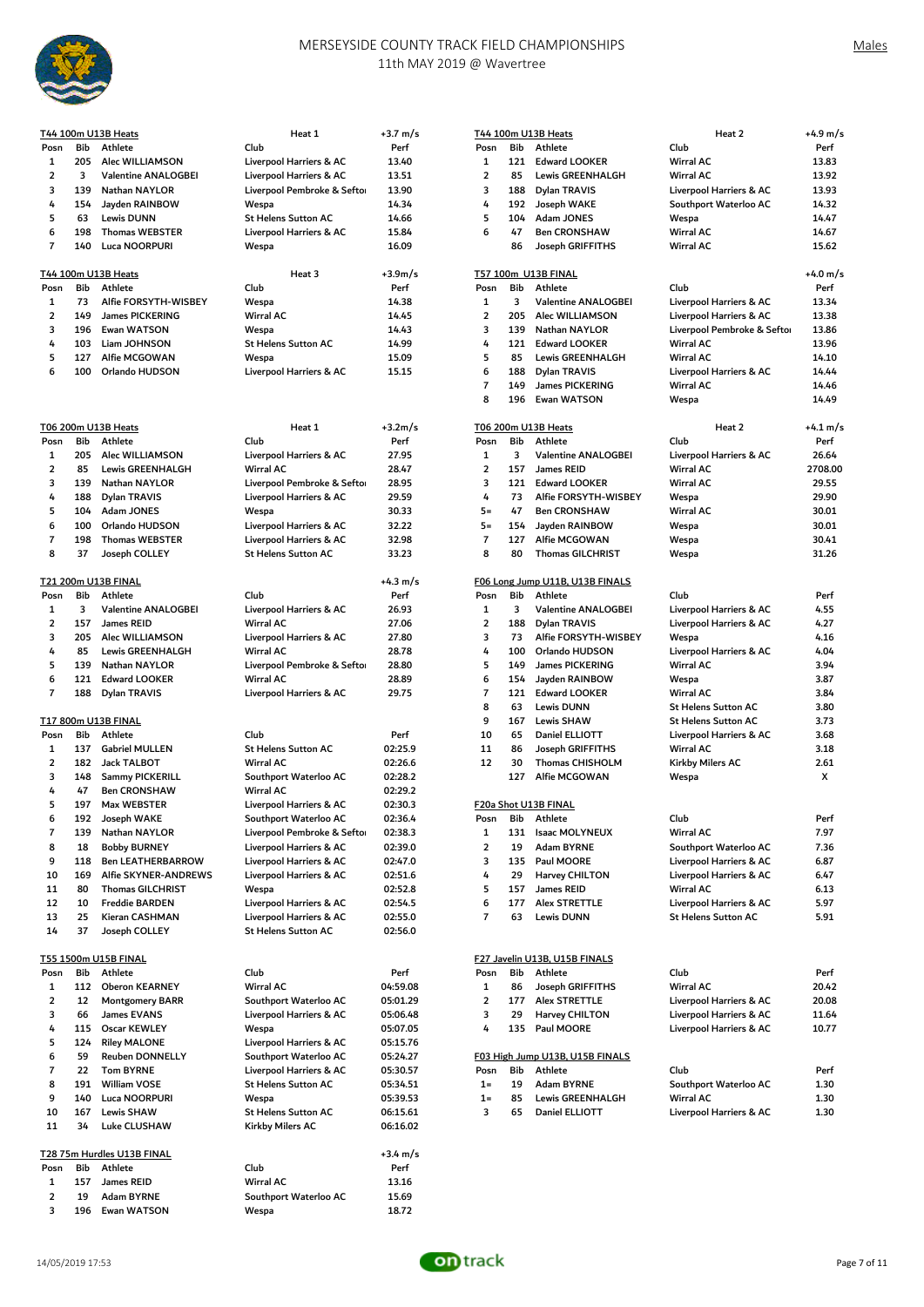

|                         |     | T44 100m U13B Heats        | Heat 1                     | $+3.7 \text{ m/s}$ |                |     | T44 100m U13B Heats             | Heat 2                      | $+4.9 \text{ m/s}$ |
|-------------------------|-----|----------------------------|----------------------------|--------------------|----------------|-----|---------------------------------|-----------------------------|--------------------|
| Posn                    | Bib | Athlete                    | Club                       | Perf               | Posn           | Bib | Athlete                         | Club                        | Perf               |
| 1                       | 205 | Alec WILLIAMSON            | Liverpool Harriers & AC    | 13.40              | 1              | 121 | <b>Edward LOOKER</b>            | <b>Wirral AC</b>            | 13.83              |
| $\overline{\mathbf{c}}$ | 3   | Valentine ANALOGBEI        | Liverpool Harriers & AC    | 13.51              | $\overline{2}$ | 85  | <b>Lewis GREENHALGH</b>         | Wirral AC                   | 13.92              |
| 3                       | 139 | Nathan NAYLOR              | Liverpool Pembroke & Sefto | 13.90              | 3              | 188 | Dylan TRAVIS                    | Liverpool Harriers & AC     | 13.93              |
| 4                       | 154 | Jayden RAINBOW             | Wespa                      | 14.34              | 4              | 192 | Joseph WAKE                     | Southport Waterloo AC       | 14.32              |
| 5                       |     |                            |                            |                    | 5              |     |                                 |                             | 14.47              |
|                         | 63  | <b>Lewis DUNN</b>          | <b>St Helens Sutton AC</b> | 14.66              |                | 104 | Adam JONES                      | Wespa                       |                    |
| 6                       | 198 | <b>Thomas WEBSTER</b>      | Liverpool Harriers & AC    | 15.84              | 6              | 47  | <b>Ben CRONSHAW</b>             | <b>Wirral AC</b>            | 14.67              |
| $\overline{7}$          | 140 | <b>Luca NOORPURI</b>       | Wespa                      | 16.09              |                | 86  | Joseph GRIFFITHS                | <b>Wirral AC</b>            | 15.62              |
|                         |     | T44 100m U13B Heats        | Heat 3                     | $+3.9m/s$          |                |     | T57 100m U13B FINAL             |                             | +4.0 m/s           |
| Posn                    | Bib | Athlete                    | Club                       | Perf               | Posn           | Bib | Athlete                         | Club                        | Perf               |
| 1                       | 73  | Alfie FORSYTH-WISBEY       | Wespa                      | 14.38              | $\mathbf{1}$   | 3   | Valentine ANALOGBEI             | Liverpool Harriers & AC     | 13.34              |
| $\overline{\mathbf{c}}$ | 149 | <b>James PICKERING</b>     | Wirral AC                  | 14.45              | $\overline{2}$ | 205 | Alec WILLIAMSON                 | Liverpool Harriers & AC     | 13.38              |
| 3                       | 196 | <b>Ewan WATSON</b>         | Wespa                      | 14.43              | 3              | 139 | Nathan NAYLOR                   | Liverpool Pembroke & Seftor | 13.86              |
| 4                       | 103 | Liam JOHNSON               | <b>St Helens Sutton AC</b> | 14.99              | 4              | 121 | <b>Edward LOOKER</b>            | <b>Wirral AC</b>            | 13.96              |
| 5                       | 127 | Alfie MCGOWAN              | Wespa                      | 15.09              | 5              | 85  | <b>Lewis GREENHALGH</b>         | <b>Wirral AC</b>            | 14.10              |
| 6                       | 100 | Orlando HUDSON             | Liverpool Harriers & AC    | 15.15              | 6              | 188 | Dylan TRAVIS                    | Liverpool Harriers & AC     | 14.44              |
|                         |     |                            |                            |                    | $\overline{7}$ | 149 | James PICKERING                 | <b>Wirral AC</b>            | 14.46              |
|                         |     |                            |                            |                    | 8              | 196 | <b>Ewan WATSON</b>              | Wespa                       | 14.49              |
|                         |     | T06 200m U13B Heats        | Heat 1                     | $+3.2m/s$          |                |     | T06 200m U13B Heats             | Heat 2                      | $+4.1 \text{ m/s}$ |
| Posn                    | Bib | Athlete                    | Club                       | Perf               | Posn           | Bib | Athlete                         | Club                        | Perf               |
| 1                       | 205 | Alec WILLIAMSON            | Liverpool Harriers & AC    | 27.95              | $\mathbf{1}$   | 3   | Valentine ANALOGBEI             | Liverpool Harriers & AC     | 26.64              |
|                         |     |                            |                            |                    |                |     |                                 |                             |                    |
| $\overline{\mathbf{2}}$ | 85  | <b>Lewis GREENHALGH</b>    | Wirral AC                  | 28.47              | $\overline{2}$ | 157 | <b>James REID</b>               | <b>Wirral AC</b>            | 2708.00            |
| 3                       | 139 | Nathan NAYLOR              | Liverpool Pembroke & Sefto | 28.95              | 3              | 121 | <b>Edward LOOKER</b>            | <b>Wirral AC</b>            | 29.55              |
| 4                       | 188 | Dylan TRAVIS               | Liverpool Harriers & AC    | 29.59              | 4              | 73  | Alfie FORSYTH-WISBEY            | Wespa                       | 29.90              |
| 5                       | 104 | <b>Adam JONES</b>          | Wespa                      | 30.33              | $5 =$          | 47  | <b>Ben CRONSHAW</b>             | <b>Wirral AC</b>            | 30.01              |
| 6                       | 100 | Orlando HUDSON             | Liverpool Harriers & AC    | 32.22              | $5 =$          | 154 | Jayden RAINBOW                  | Wespa                       | 30.01              |
| $\overline{7}$          | 198 | <b>Thomas WEBSTER</b>      | Liverpool Harriers & AC    | 32.98              | $\overline{7}$ | 127 | Alfie MCGOWAN                   | Wespa                       | 30.41              |
| 8                       | 37  | Joseph COLLEY              | <b>St Helens Sutton AC</b> | 33.23              | 8              | 80  | <b>Thomas GILCHRIST</b>         | Wespa                       | 31.26              |
|                         |     | T21 200m U13B FINAL        |                            | $+4.3 \text{ m/s}$ |                |     | F06 Long Jump U11B, U13B FINALS |                             |                    |
| Posn                    | Bib | Athlete                    | Club                       | Perf               | Posn           | Bib | Athlete                         | Club                        | Perf               |
| 1                       | 3   | Valentine ANALOGBEI        | Liverpool Harriers & AC    | 26.93              | 1              | 3   | Valentine ANALOGBEI             | Liverpool Harriers & AC     | 4.55               |
| 2                       | 157 | James REID                 | Wirral AC                  | 27.06              | $\overline{2}$ | 188 | Dylan TRAVIS                    | Liverpool Harriers & AC     | 4.27               |
| 3                       | 205 | Alec WILLIAMSON            | Liverpool Harriers & AC    | 27.80              | 3              | 73  | Alfie FORSYTH-WISBEY            | Wespa                       | 4.16               |
| 4                       | 85  | <b>Lewis GREENHALGH</b>    | <b>Wirral AC</b>           | 28.78              | 4              | 100 | Orlando HUDSON                  | Liverpool Harriers & AC     | 4.04               |
| 5                       | 139 | Nathan NAYLOR              |                            | 28.80              | 5              | 149 |                                 | <b>Wirral AC</b>            | 3.94               |
|                         |     |                            | Liverpool Pembroke & Sefto |                    |                |     | James PICKERING                 |                             |                    |
| 6                       | 121 | <b>Edward LOOKER</b>       | Wirral AC                  | 28.89              | 6              | 154 | Jayden RAINBOW                  | Wespa                       | 3.87               |
| $\overline{7}$          | 188 | Dylan TRAVIS               | Liverpool Harriers & AC    | 29.75              | $\overline{7}$ | 121 | Edward LOOKER                   | Wirral AC                   | 3.84               |
|                         |     |                            |                            |                    | 8              | 63  | <b>Lewis DUNN</b>               | <b>St Helens Sutton AC</b>  | 3.80               |
|                         |     | T17 800m U13B FINAL        |                            |                    | 9              | 167 | <b>Lewis SHAW</b>               | <b>St Helens Sutton AC</b>  | 3.73               |
| Posn                    | Bib | Athlete                    | Club                       | Perf               | 10             | 65  | Daniel ELLIOTT                  | Liverpool Harriers & AC     | 3.68               |
| 1                       | 137 | <b>Gabriel MULLEN</b>      | <b>St Helens Sutton AC</b> | 02:25.9            | 11             | 86  | Joseph GRIFFITHS                | <b>Wirral AC</b>            | 3.18               |
| 2                       | 182 | <b>Jack TALBOT</b>         | Wirral AC                  | 02:26.6            | 12             | 30  | Thomas CHISHOLM                 | Kirkby Milers AC            | 2.61               |
| 3                       | 148 | Sammy PICKERILL            | Southport Waterloo AC      | 02:28.2            |                | 127 | Alfie MCGOWAN                   | Wespa                       | x                  |
| 4                       | 47  | <b>Ben CRONSHAW</b>        | <b>Wirral AC</b>           | 02:29.2            |                |     |                                 |                             |                    |
| 5                       | 197 | Max WEBSTER                | Liverpool Harriers & AC    | 02:30.3            |                |     | F20a Shot U13B FINAL            |                             |                    |
| 6                       |     | 192 Joseph WAKE            | Southport Waterloo AC      | 02:36.4            |                |     | Posn Bib Athlete                | Club                        | Perf               |
| $\overline{7}$          | 139 | Nathan NAYLOR              | Liverpool Pembroke & Sefto | 02:38.3            | 1              | 131 | Isaac MOLYNEUX                  | <b>Wirral AC</b>            | 7.97               |
|                         |     |                            |                            |                    |                |     |                                 |                             |                    |
| 8                       | 18  | <b>Bobby BURNEY</b>        | Liverpool Harriers & AC    | 02:39.0            | $\overline{2}$ | 19  | Adam BYRNE                      | Southport Waterloo AC       | 7.36               |
| 9                       | 118 | <b>Ben LEATHERBARROW</b>   | Liverpool Harriers & AC    | 02:47.0            | 3              | 135 | Paul MOORE                      | Liverpool Harriers & AC     | 6.87               |
| 10                      | 169 | Alfie SKYNER-ANDREWS       | Liverpool Harriers & AC    | 02:51.6            | 4              | 29  | Harvey CHILTON                  | Liverpool Harriers & AC     | 6.47               |
| 11                      | 80  | <b>Thomas GILCHRIST</b>    | Wespa                      | 02:52.8            | 5              | 157 | James REID                      | Wirral AC                   | 6.13               |
| 12                      | 10  | <b>Freddie BARDEN</b>      | Liverpool Harriers & AC    | 02:54.5            | 6              | 177 | <b>Alex STRETTLE</b>            | Liverpool Harriers & AC     | 5.97               |
| 13                      | 25  | Kieran CASHMAN             | Liverpool Harriers & AC    | 02:55.0            | $\overline{7}$ | 63  | <b>Lewis DUNN</b>               | <b>St Helens Sutton AC</b>  | 5.91               |
| 14                      | 37  | Joseph COLLEY              | <b>St Helens Sutton AC</b> | 02:56.0            |                |     |                                 |                             |                    |
|                         |     | T55 1500m U15B FINAL       |                            |                    |                |     | F27 Javelin U13B, U15B FINALS   |                             |                    |
| Posn                    | Bib | Athlete                    | Club                       | Perf               | Posn           | Bib | Athlete                         | Club                        | Perf               |
| 1                       | 112 | Oberon KEARNEY             | Wirral AC                  | 04:59.08           | 1              | 86  | Joseph GRIFFITHS                | <b>Wirral AC</b>            | 20.42              |
| 2                       | 12  | <b>Montgomery BARR</b>     | Southport Waterloo AC      | 05:01.29           | $\overline{2}$ | 177 | Alex STRETTLE                   | Liverpool Harriers & AC     | 20.08              |
| 3                       | 66  | James EVANS                | Liverpool Harriers & AC    | 05:06.48           | 3              | 29  | Harvey CHILTON                  | Liverpool Harriers & AC     | 11.64              |
| 4                       | 115 | Oscar KEWLEY               | Wespa                      | 05:07.05           | 4              | 135 | Paul MOORE                      | Liverpool Harriers & AC     | 10.77              |
| 5                       | 124 | <b>Riley MALONE</b>        |                            |                    |                |     |                                 |                             |                    |
|                         |     |                            | Liverpool Harriers & AC    | 05:15.76           |                |     |                                 |                             |                    |
| 6                       | 59  | Reuben DONNELLY            | Southport Waterloo AC      | 05:24.27           |                |     | F03 High Jump U13B, U15B FINALS |                             |                    |
| 7                       | 22  | <b>Tom BYRNE</b>           | Liverpool Harriers & AC    | 05:30.57           | Posn           | Bib | Athlete                         | Club                        | Perf               |
| 8                       | 191 | William VOSE               | <b>St Helens Sutton AC</b> | 05:34.51           | $1=$           | 19  | Adam BYRNE                      | Southport Waterloo AC       | 1.30               |
| 9                       | 140 | Luca NOORPURI              | Wespa                      | 05:39.53           | $1=$           | 85  | Lewis GREENHALGH                | Wirral AC                   | 1.30               |
| 10                      | 167 | <b>Lewis SHAW</b>          | St Helens Sutton AC        | 06:15.61           | 3              | 65  | Daniel ELLIOTT                  | Liverpool Harriers & AC     | 1.30               |
| 11                      | 34  | <b>Luke CLUSHAW</b>        | Kirkby Milers AC           | 06:16.02           |                |     |                                 |                             |                    |
|                         |     | T28 75m Hurdles U13B FINAL |                            | $+3.4 \text{ m/s}$ |                |     |                                 |                             |                    |
| Posn                    | Bib | Athlete                    | Club                       | Perf               |                |     |                                 |                             |                    |
| 1                       | 157 | James REID                 | Wirral AC                  | 13.16              |                |     |                                 |                             |                    |
| 2                       | 19  | Adam BYRNE                 | Southport Waterloo AC      | 15.69              |                |     |                                 |                             |                    |
| 3                       | 196 | <b>Ewan WATSON</b>         | Wespa                      | 18.72              |                |     |                                 |                             |                    |

| Posn<br>1<br>$\overline{2}$<br>3 | Bib<br>121<br>85<br>188 | T44 100m U13B Heats<br>Athlete<br><b>Edward LOOKER</b><br>Lewis GREENHALGH | Club<br><b>Wirral AC</b>           | +4.9 m/s<br>Perf<br>13.83 |
|----------------------------------|-------------------------|----------------------------------------------------------------------------|------------------------------------|---------------------------|
|                                  |                         |                                                                            |                                    |                           |
|                                  |                         |                                                                            |                                    |                           |
|                                  |                         |                                                                            | Wirral AC                          | 13.92                     |
|                                  |                         | Dylan TRAVIS                                                               | Liverpool Harriers & AC            | 13.93                     |
| 4                                | 192                     | Joseph WAKE                                                                | Southport Waterloo AC              | 14.32                     |
| 5                                | 104                     | <b>Adam JONES</b>                                                          | Wespa                              | 14.47                     |
| 6                                | 47                      | <b>Ben CRONSHAW</b>                                                        | Wirral AC                          | 14.67                     |
|                                  | 86                      | Joseph GRIFFITHS                                                           | <b>Wirral AC</b>                   | 15.62                     |
|                                  |                         | T57 100m U13B FINAL                                                        |                                    | +4.0 m/s                  |
| Posn                             | Bib                     | Athlete                                                                    | Club                               | Perf                      |
| 1                                | 3                       | Valentine ANALOGBEI                                                        | Liverpool Harriers & AC            | 13.34                     |
| $\overline{2}$                   | 205                     | Alec WILLIAMSON                                                            | Liverpool Harriers & AC            | 13.38                     |
| 3                                | 139                     | Nathan NAYLOR                                                              | Liverpool Pembroke & Seftor        | 13.86                     |
| 4                                | 121                     | <b>Edward LOOKER</b>                                                       | Wirral AC                          | 13.96                     |
| 5                                | 85                      | Lewis GREENHALGH                                                           | <b>Wirral AC</b>                   | 14.10                     |
| 6                                | 188                     | Dylan TRAVIS                                                               | Liverpool Harriers & AC            | 14.44                     |
| $\overline{7}$                   | 149                     | <b>James PICKERING</b>                                                     | Wirral AC                          | 14.46                     |
| 8                                | 196                     | Ewan WATSON                                                                | Wespa                              | 14.49                     |
|                                  |                         | T06 200m U13B Heats                                                        | Heat 2                             | +4.1 m/s                  |
| Posn                             | Bib                     | Athlete                                                                    | Club                               | Perf                      |
| 1                                | 3                       | Valentine ANALOGBEI                                                        | Liverpool Harriers & AC            | 26.64                     |
| $\overline{2}$                   | 157                     | James REID                                                                 | <b>Wirral AC</b>                   | 2708.00                   |
| 3                                | 121                     | <b>Edward LOOKER</b>                                                       | <b>Wirral AC</b>                   | 29.55                     |
| 4<br>$5 =$                       | 73<br>47                | Alfie FORSYTH-WISBEY<br><b>Ben CRONSHAW</b>                                | Wespa<br><b>Wirral AC</b>          | 29.90                     |
| $5 =$                            | 154                     | Jayden RAINBOW                                                             | Wespa                              | 30.01                     |
| $\overline{7}$                   | 127                     | Alfie MCGOWAN                                                              | Wespa                              | 30.01<br>30.41            |
| 8                                | 80                      | <b>Thomas GILCHRIST</b>                                                    | Wespa                              | 31.26                     |
|                                  |                         |                                                                            |                                    |                           |
|                                  |                         | F06 Long Jump U11B, U13B FINALS                                            |                                    |                           |
| Posn                             | Bib                     | Athlete                                                                    | Club                               | Perf                      |
| $\mathbf{1}$                     | 3                       | Valentine ANALOGBEI                                                        | Liverpool Harriers & AC            | 4.55                      |
| $\overline{2}$                   | 188                     | Dylan TRAVIS                                                               | Liverpool Harriers & AC            | 4.27                      |
| 3                                | 73                      | Alfie FORSYTH-WISBEY                                                       | Wespa                              | 4.16                      |
| 4                                | 100                     | Orlando HUDSON                                                             | Liverpool Harriers & AC            | 4.04                      |
| 5                                | 149                     | James PICKERING                                                            | Wirral AC                          | 3.94<br>3.87              |
| 6<br>7                           | 154<br>121              | Jayden RAINBOW<br><b>Edward LOOKER</b>                                     | Wespa<br>Wirral AC                 | 3.84                      |
| 8                                | 63                      | <b>Lewis DUNN</b>                                                          | <b>St Helens Sutton AC</b>         | 3.80                      |
| 9                                | 167                     | <b>Lewis SHAW</b>                                                          | <b>St Helens Sutton AC</b>         | 3.73                      |
| 10                               | 65                      | Daniel ELLIOTT                                                             | <b>Liverpool Harriers &amp; AC</b> | 3.68                      |
| 11                               | 86                      | Joseph GRIFFITHS                                                           | Wirral AC                          | 3.18                      |
| 12                               | 30                      | <b>Thomas CHISHOLM</b>                                                     | Kirkby Milers AC                   | 2.61                      |
|                                  | 127                     | Alfie MCGOWAN                                                              | Wespa                              | x                         |
|                                  |                         | F20a Shot U13B FINAL                                                       |                                    |                           |
| Posn                             | Bib                     | Athlete                                                                    | Club                               | Perf                      |
| 1                                | 131                     | <b>Isaac MOLYNEUX</b>                                                      | Wirral AC                          | 7.97                      |
| 2                                | 19                      | Adam BYRNE                                                                 | Southport Waterloo AC              | 7.36                      |
| 3                                | 135                     | Paul MOORE                                                                 | Liverpool Harriers & AC            | 6.87                      |
| 4                                | 29                      | Harvey CHILTON                                                             | Liverpool Harriers & AC            | 6.47                      |
| 5                                | 157                     | James REID                                                                 | Wirral AC                          | 6.13                      |
| 6                                | 177                     | <b>Alex STRETTLE</b>                                                       | Liverpool Harriers & AC            | 5.97                      |
| 7                                | 63                      | <b>Lewis DUNN</b>                                                          | <b>St Helens Sutton AC</b>         | 5.91                      |
|                                  |                         |                                                                            |                                    |                           |
|                                  |                         | F27 Javelin U13B, U15B FINALS                                              |                                    |                           |
| Posn                             | Bib                     | Athlete                                                                    | Club                               | Perf                      |
| 1                                | 86                      | Joseph GRIFFITHS                                                           | Wirral AC                          | 20.42                     |
| $\overline{2}$                   | 177                     | <b>Alex STRETTLE</b>                                                       | Liverpool Harriers & AC            | 20.08                     |
| 3                                | 29                      | Harvey CHILTON                                                             | Liverpool Harriers & AC            | 11.64                     |
| 4                                | 135                     | Paul MOORE                                                                 | Liverpool Harriers & AC            | 10.77                     |
|                                  |                         | F03 High Jump U13B, U15B FINALS                                            |                                    |                           |
| Posn                             | Bib                     | Athlete                                                                    | Club                               | Perf                      |
| $1 =$                            | 19                      | Adam BYRNE                                                                 | Southport Waterloo AC              | 1.30                      |
| $1 =$                            | 85                      | Lewis GREENHALGH                                                           | Wirral AC                          | 1.30                      |
| 3                                | 65                      | Daniel ELLIOTT                                                             | Liverpool Harriers & AC            | 1.30                      |
|                                  |                         |                                                                            |                                    |                           |

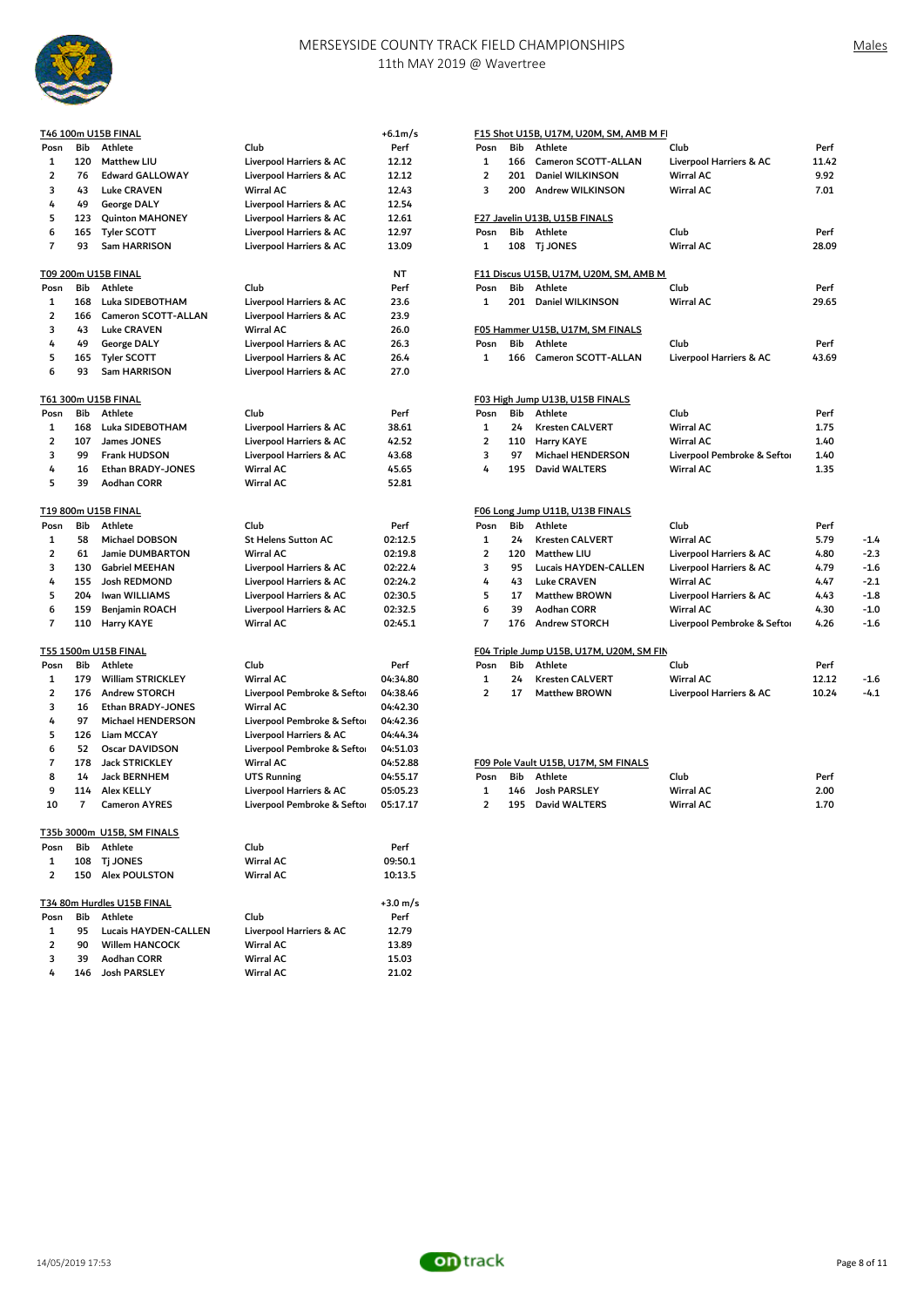

|                |                | T46 100m U15B FINAL               |                            | $+6.1m/s$          |                |     | F15 Shot U15B, U17M, U20M, SM, AMB M FI  |                             |      |
|----------------|----------------|-----------------------------------|----------------------------|--------------------|----------------|-----|------------------------------------------|-----------------------------|------|
| Posn           | Bib            | Athlete                           | Club                       | Perf               | Posn           | Bib | Athlete                                  | Club                        | Per  |
| 1              | 120            | Matthew LIU                       | Liverpool Harriers & AC    | 12.12              | 1              | 166 | Cameron SCOTT-ALLAN                      | Liverpool Harriers & AC     | 11.4 |
| $\overline{2}$ | 76             | Edward GALLOWAY                   | Liverpool Harriers & AC    | 12.12              | $\overline{2}$ | 201 | Daniel WILKINSON                         | Wirral AC                   | 9.92 |
| 3              | 43             | <b>Luke CRAVEN</b>                | Wirral AC                  | 12.43              | 3              | 200 | Andrew WILKINSON                         | <b>Wirral AC</b>            | 7.01 |
| 4              | 49             | George DALY                       | Liverpool Harriers & AC    | 12.54              |                |     |                                          |                             |      |
| 5              | 123            | <b>Quinton MAHONEY</b>            | Liverpool Harriers & AC    | 12.61              |                |     | F27 Javelin U13B, U15B FINALS            |                             |      |
| 6              | 165            | <b>Tyler SCOTT</b>                | Liverpool Harriers & AC    | 12.97              | Posn           | Bib | Athlete                                  | Club                        | Per  |
| $\overline{7}$ | 93             | Sam HARRISON                      | Liverpool Harriers & AC    | 13.09              | 1              | 108 | <b>Tj JONES</b>                          | Wirral AC                   | 28.0 |
|                |                | T09 200m U15B FINAL               |                            | <b>NT</b>          |                |     | F11 Discus U15B, U17M, U20M, SM, AMB M   |                             |      |
| Posn           | Bib            | Athlete                           | Club                       | Perf               | Posn           | Bib | Athlete                                  | Club                        | Per  |
| 1              | 168            | Luka SIDEBOTHAM                   | Liverpool Harriers & AC    | 23.6               | $\mathbf{1}$   | 201 | Daniel WILKINSON                         | Wirral AC                   | 29.6 |
| $\overline{2}$ | 166            | <b>Cameron SCOTT-ALLAN</b>        | Liverpool Harriers & AC    | 23.9               |                |     |                                          |                             |      |
| 3              | 43             | <b>Luke CRAVEN</b>                | Wirral AC                  | 26.0               |                |     | F05 Hammer U15B, U17M, SM FINALS         |                             |      |
| 4              | 49             | George DALY                       | Liverpool Harriers & AC    | 26.3               | Posn           | Bib | Athlete                                  | Club                        | Per  |
| 5              | 165            | <b>Tyler SCOTT</b>                | Liverpool Harriers & AC    | 26.4               | $\mathbf{1}$   | 166 | Cameron SCOTT-ALLAN                      | Liverpool Harriers & AC     | 43.6 |
| 6              | 93             | Sam HARRISON                      | Liverpool Harriers & AC    | 27.0               |                |     |                                          |                             |      |
|                |                | T61 300m U15B FINAL               |                            |                    |                |     | F03 High Jump U13B, U15B FINALS          |                             |      |
| Posn           | Bib            | Athlete                           | Club                       | Perf               | Posn           | Bib | Athlete                                  | Club                        | Per  |
| 1              | 168            | Luka SIDEBOTHAM                   | Liverpool Harriers & AC    | 38.61              | $\mathbf{1}$   | 24  | <b>Kresten CALVERT</b>                   | Wirral AC                   | 1.75 |
| $\overline{2}$ | 107            | James JONES                       | Liverpool Harriers & AC    | 42.52              | $\overline{2}$ | 110 | Harry KAYE                               | <b>Wirral AC</b>            | 1.40 |
| 3              | 99             | Frank HUDSON                      | Liverpool Harriers & AC    | 43.68              | 3              | 97  | Michael HENDERSON                        | Liverpool Pembroke & Seftor | 1.40 |
| 4              | 16             | Ethan BRADY-JONES                 | Wirral AC                  | 45.65              | 4              | 195 | David WALTERS                            | <b>Wirral AC</b>            | 1.35 |
| 5              | 39             | <b>Aodhan CORR</b>                | Wirral AC                  | 52.81              |                |     |                                          |                             |      |
|                |                | T19 800m U15B FINAL               |                            |                    |                |     | F06 Long Jump U11B, U13B FINALS          |                             |      |
| Posn           | Bib            | Athlete                           | Club                       | Perf               | Posn           | Bib | Athlete                                  | Club                        | Per  |
| 1              | 58             | Michael DOBSON                    | <b>St Helens Sutton AC</b> | 02:12.5            | 1              | 24  | <b>Kresten CALVERT</b>                   | Wirral AC                   | 5.79 |
| $\overline{2}$ | 61             | <b>Jamie DUMBARTON</b>            | Wirral AC                  | 02:19.8            | $\overline{2}$ | 120 | Matthew LIU                              | Liverpool Harriers & AC     | 4.80 |
| 3              | 130            | Gabriel MEEHAN                    | Liverpool Harriers & AC    | 02:22.4            | 3              | 95  | Lucais HAYDEN-CALLEN                     | Liverpool Harriers & AC     | 4.79 |
| 4              | 155            | Josh REDMOND                      | Liverpool Harriers & AC    | 02:24.2            | 4              | 43  | <b>Luke CRAVEN</b>                       | Wirral AC                   | 4.47 |
| 5              | 204            | Iwan WILLIAMS                     | Liverpool Harriers & AC    | 02:30.5            | 5              | 17  | <b>Matthew BROWN</b>                     | Liverpool Harriers & AC     | 4.43 |
| 6              | 159            | <b>Benjamin ROACH</b>             | Liverpool Harriers & AC    | 02:32.5            | 6              | 39  | Aodhan CORR                              | Wirral AC                   | 4.30 |
| $\overline{7}$ | 110            | <b>Harry KAYE</b>                 | Wirral AC                  | 02:45.1            | $\overline{7}$ | 176 | <b>Andrew STORCH</b>                     | Liverpool Pembroke & Seftor | 4.26 |
|                |                | <u>T55 1500m U15B FINAL</u>       |                            |                    |                |     | F04 Triple Jump U15B, U17M, U20M, SM FIN |                             |      |
| Posn           | Bib            | Athlete                           | Club                       | Perf               | Posn           | Bib | Athlete                                  | Club                        | Per  |
| 1              | 179            | <b>William STRICKLEY</b>          | Wirral AC                  | 04:34.80           | 1              | 24  | <b>Kresten CALVERT</b>                   | <b>Wirral AC</b>            | 12.1 |
| $\overline{2}$ | 176            | <b>Andrew STORCH</b>              | Liverpool Pembroke & Sefto | 04:38.46           | $\overline{2}$ | 17  | <b>Matthew BROWN</b>                     | Liverpool Harriers & AC     | 10.2 |
| 3              | 16             | Ethan BRADY-JONES                 | Wirral AC                  | 04:42.30           |                |     |                                          |                             |      |
| 4              | 97             | Michael HENDERSON                 | Liverpool Pembroke & Sefto | 04:42.36           |                |     |                                          |                             |      |
| 5              | 126            | Liam MCCAY                        | Liverpool Harriers & AC    | 04:44.34           |                |     |                                          |                             |      |
| 6              | 52             | <b>Oscar DAVIDSON</b>             | Liverpool Pembroke & Sefto | 04:51.03           |                |     |                                          |                             |      |
| $\overline{7}$ | 178            | <b>Jack STRICKLEY</b>             | Wirral AC                  | 04:52.88           |                |     | F09 Pole Vault U15B, U17M, SM FINALS     |                             |      |
| 8              | 14             | Jack BERNHEM                      | <b>UTS Running</b>         | 04:55.17           | Posn           | Bib | Athlete                                  | Club                        | Per  |
| 9              | 114            | Alex KELLY                        | Liverpool Harriers & AC    | 05:05.23           | 1              | 146 | Josh PARSLEY                             | <b>Wirral AC</b>            | 2.00 |
| 10             | $\overline{7}$ | <b>Cameron AYRES</b>              | Liverpool Pembroke & Sefto | 05:17.17           | $\overline{2}$ | 195 | <b>David WALTERS</b>                     | <b>Wirral AC</b>            | 1.70 |
|                |                | <u>T35b 3000m U15B, SM FINALS</u> |                            |                    |                |     |                                          |                             |      |
| Posn           | Bib            | Athlete                           | Club                       | Perf               |                |     |                                          |                             |      |
| 1              | 108            | <b>Tj JONES</b>                   | Wirral AC                  | 09:50.1            |                |     |                                          |                             |      |
| $\overline{2}$ |                | 150 Alex POULSTON                 | Wirral AC                  | 10:13.5            |                |     |                                          |                             |      |
|                |                | <u>T34 80m Hurdles U15B FINAL</u> |                            | $+3.0 \text{ m/s}$ |                |     |                                          |                             |      |
| Posn           | Bib            | Athlete                           | Club                       | Perf               |                |     |                                          |                             |      |
| 1              | 95             | Lucais HAYDEN-CALLEN              | Liverpool Harriers & AC    | 12.79              |                |     |                                          |                             |      |
| 2              | 90             | <b>Willem HANCOCK</b>             | Wirral AC                  | 13.89              |                |     |                                          |                             |      |
| 3              | 39             | Aodhan CORR                       | Wirral AC                  | 15.03              |                |     |                                          |                             |      |
| 4              |                | 146 Josh PARSLEY                  | Wirral AC                  | 21.02              |                |     |                                          |                             |      |
|                |                |                                   |                            |                    |                |     |                                          |                             |      |

|     |     | <b>6 100m U15B FINAL</b>   |                                                                                               | $+6.1m/s$ |                |     | F15 Shot U15B, U17M, U20M, SM, AMB M FI  |                             |       |        |
|-----|-----|----------------------------|-----------------------------------------------------------------------------------------------|-----------|----------------|-----|------------------------------------------|-----------------------------|-------|--------|
| osn | Bib | Athlete                    | Club                                                                                          | Perf      | Posn           | Bib | Athlete                                  | Club                        | Perf  |        |
| 1   | 120 | <b>Matthew LIU</b>         | Liverpool Harriers & AC                                                                       | 12.12     | $\mathbf{1}$   | 166 | Cameron SCOTT-ALLAN                      | Liverpool Harriers & AC     | 11.42 |        |
| 2   | 76  | <b>Edward GALLOWAY</b>     | Liverpool Harriers & AC                                                                       | 12.12     | $\overline{2}$ | 201 | Daniel WILKINSON                         | <b>Wirral AC</b>            | 9.92  |        |
| 3   | 43  | <b>Luke CRAVEN</b>         | <b>Wirral AC</b>                                                                              | 12.43     | 3              | 200 | <b>Andrew WILKINSON</b>                  | <b>Wirral AC</b>            | 7.01  |        |
| 4   | 49  | George DALY                | Liverpool Harriers & AC                                                                       | 12.54     |                |     |                                          |                             |       |        |
| 5   | 123 | <b>Quinton MAHONEY</b>     | Liverpool Harriers & AC                                                                       | 12.61     |                |     | F27 Javelin U13B, U15B FINALS            |                             |       |        |
| 6   | 165 | <b>Tyler SCOTT</b>         | Liverpool Harriers & AC                                                                       | 12.97     | Posn           | Bib | Athlete                                  | Club                        | Perf  |        |
| 7   | 93  | Sam HARRISON               | Liverpool Harriers & AC                                                                       | 13.09     | $\mathbf{1}$   |     | 108 Tj JONES                             | <b>Wirral AC</b>            | 28.09 |        |
|     |     | )9 200m U15B FINAL         |                                                                                               | <b>NT</b> |                |     | F11 Discus U15B, U17M, U20M, SM, AMB M   |                             |       |        |
| osn | Bib | Athlete                    | Club                                                                                          | Perf      | Posn           | Bib | Athlete                                  | Club                        | Perf  |        |
| 1   | 168 | Luka SIDEBOTHAM            | Liverpool Harriers & AC                                                                       | 23.6      | $\mathbf{1}$   | 201 | Daniel WILKINSON                         | Wirral AC                   | 29.65 |        |
| 2   | 166 | <b>Cameron SCOTT-ALLAN</b> | Liverpool Harriers & AC                                                                       | 23.9      |                |     |                                          |                             |       |        |
| 3   | 43  | <b>Luke CRAVEN</b>         | <b>Wirral AC</b>                                                                              | 26.0      |                |     | F05 Hammer U15B, U17M, SM FINALS         |                             |       |        |
| 4   | 49  | George DALY                | Liverpool Harriers & AC                                                                       | 26.3      | Posn           | Bib | Athlete                                  | Club                        | Perf  |        |
| 5   | 165 | <b>Tyler SCOTT</b>         | Liverpool Harriers & AC                                                                       | 26.4      | $\mathbf{1}$   | 166 | Cameron SCOTT-ALLAN                      | Liverpool Harriers & AC     | 43.69 |        |
| 6   | 93  | Sam HARRISON               | Liverpool Harriers & AC                                                                       | 27.0      |                |     |                                          |                             |       |        |
|     |     | i1 300m U15B FINAL         |                                                                                               |           |                |     | F03 High Jump U13B, U15B FINALS          |                             |       |        |
| osn | Bib | Athlete                    | Club                                                                                          | Perf      | Posn           | Bib | Athlete                                  | Club                        | Perf  |        |
| 1   | 168 | Luka SIDEBOTHAM            | Liverpool Harriers & AC                                                                       | 38.61     | $\mathbf{1}$   | 24  | <b>Kresten CALVERT</b>                   | <b>Wirral AC</b>            | 1.75  |        |
| 2   | 107 | James JONES                | Liverpool Harriers & AC                                                                       | 42.52     | $\overline{2}$ | 110 | Harry KAYE                               | <b>Wirral AC</b>            | 1.40  |        |
| 3   | 99  | <b>Frank HUDSON</b>        | Liverpool Harriers & AC                                                                       | 43.68     | 3              | 97  | Michael HENDERSON                        | Liverpool Pembroke & Seftor | 1.40  |        |
| 4   | 16  | Ethan BRADY-JONES          | <b>Wirral AC</b>                                                                              | 45.65     | 4              | 195 | David WALTERS                            | <b>Wirral AC</b>            | 1.35  |        |
| 5   | 39  | Aodhan CORR                | <b>Wirral AC</b>                                                                              | 52.81     |                |     |                                          |                             |       |        |
|     |     | 19 800m U15B FINAL         |                                                                                               |           |                |     | F06 Long Jump U11B, U13B FINALS          |                             |       |        |
| osn | Bib | Athlete                    | Club                                                                                          | Perf      | Posn           | Bib | Athlete                                  | Club                        | Perf  |        |
| 1   | 58  | Michael DOBSON             | <b>St Helens Sutton AC</b>                                                                    | 02:12.5   | $\mathbf{1}$   | 24  | <b>Kresten CALVERT</b>                   | <b>Wirral AC</b>            | 5.79  | $-1.4$ |
| 2   | 61  | <b>Jamie DUMBARTON</b>     | <b>Wirral AC</b>                                                                              | 02:19.8   | $\overline{2}$ | 120 | <b>Matthew LIU</b>                       | Liverpool Harriers & AC     | 4.80  | $-2.3$ |
| 3   | 130 | <b>Gabriel MEEHAN</b>      | Liverpool Harriers & AC                                                                       | 02:22.4   | 3              | 95  | <b>Lucais HAYDEN-CALLEN</b>              | Liverpool Harriers & AC     | 4.79  | $-1.6$ |
| 4   | 155 | Josh REDMOND               | Liverpool Harriers & AC                                                                       | 02:24.2   | 4              | 43  | <b>Luke CRAVEN</b>                       | Wirral AC                   | 4.47  | $-2.1$ |
| 5   | 204 | Iwan WILLIAMS              | Liverpool Harriers & AC                                                                       | 02:30.5   | 5              | 17  | <b>Matthew BROWN</b>                     | Liverpool Harriers & AC     | 4.43  | $-1.8$ |
| 6   | 159 | <b>Benjamin ROACH</b>      | Liverpool Harriers & AC                                                                       | 02:32.5   | 6              | 39  | Aodhan CORR                              | <b>Wirral AC</b>            | 4.30  | $-1.0$ |
| 7   | 110 | <b>Harry KAYE</b>          | <b>Wirral AC</b>                                                                              | 02:45.1   | $\overline{7}$ | 176 | <b>Andrew STORCH</b>                     | Liverpool Pembroke & Seftor | 4.26  | $-1.6$ |
|     |     | 55 1500m U15B FINAL        |                                                                                               |           |                |     | F04 Triple Jump U15B, U17M, U20M, SM FIN |                             |       |        |
| osn | Bib | Athlete                    | Club                                                                                          | Perf      | Posn           | Bib | Athlete                                  | Club                        | Perf  |        |
| 1   | 179 | <b>William STRICKLEY</b>   | <b>Wirral AC</b>                                                                              | 04:34.80  | $\mathbf{1}$   | 24  | <b>Kresten CALVERT</b>                   | <b>Wirral AC</b>            | 12.12 | $-1.6$ |
| 2   | 176 | <b>Andrew STORCH</b>       | Liverpool Pembroke & Sefto                                                                    | 04:38.46  | $\overline{2}$ | 17  | <b>Matthew BROWN</b>                     | Liverpool Harriers & AC     | 10.24 | $-4.1$ |
| 3   | 16  | Ethan BRADY-JONES          | <b>Wirral AC</b>                                                                              | 04:42.30  |                |     |                                          |                             |       |        |
|     |     | 1.17717777777              | $\mathbf{1} \cdot \mathbf{1}$ $\mathbf{1} \cdot \mathbf{2} \cdot \mathbf{3} \cdot \mathbf{4}$ | $\cdots$  |                |     |                                          |                             |       |        |

|         |             | F09 Pole Vault U15B. U17M. SM FINALS |      |
|---------|-------------|--------------------------------------|------|
| $D - 2$ | Dil Ashlana |                                      | CL.L |

| 14  | Jack BERNHEM         | UTS Running                        | 04:55.17 | Posn | Bib | Athlete          | Club             | Peri |
|-----|----------------------|------------------------------------|----------|------|-----|------------------|------------------|------|
| 114 | Alex KELLY           | <b>Liverpool Harriers &amp; AC</b> | 05:05.23 |      |     | 146 Josh PARSLEY | Wirral AC        | 2.00 |
|     | <b>Cameron AYRES</b> | Liverpool Pembroke & Sefto         | 05:17.17 |      | 195 | David WALTERS    | <b>Wirral AC</b> | 1.70 |

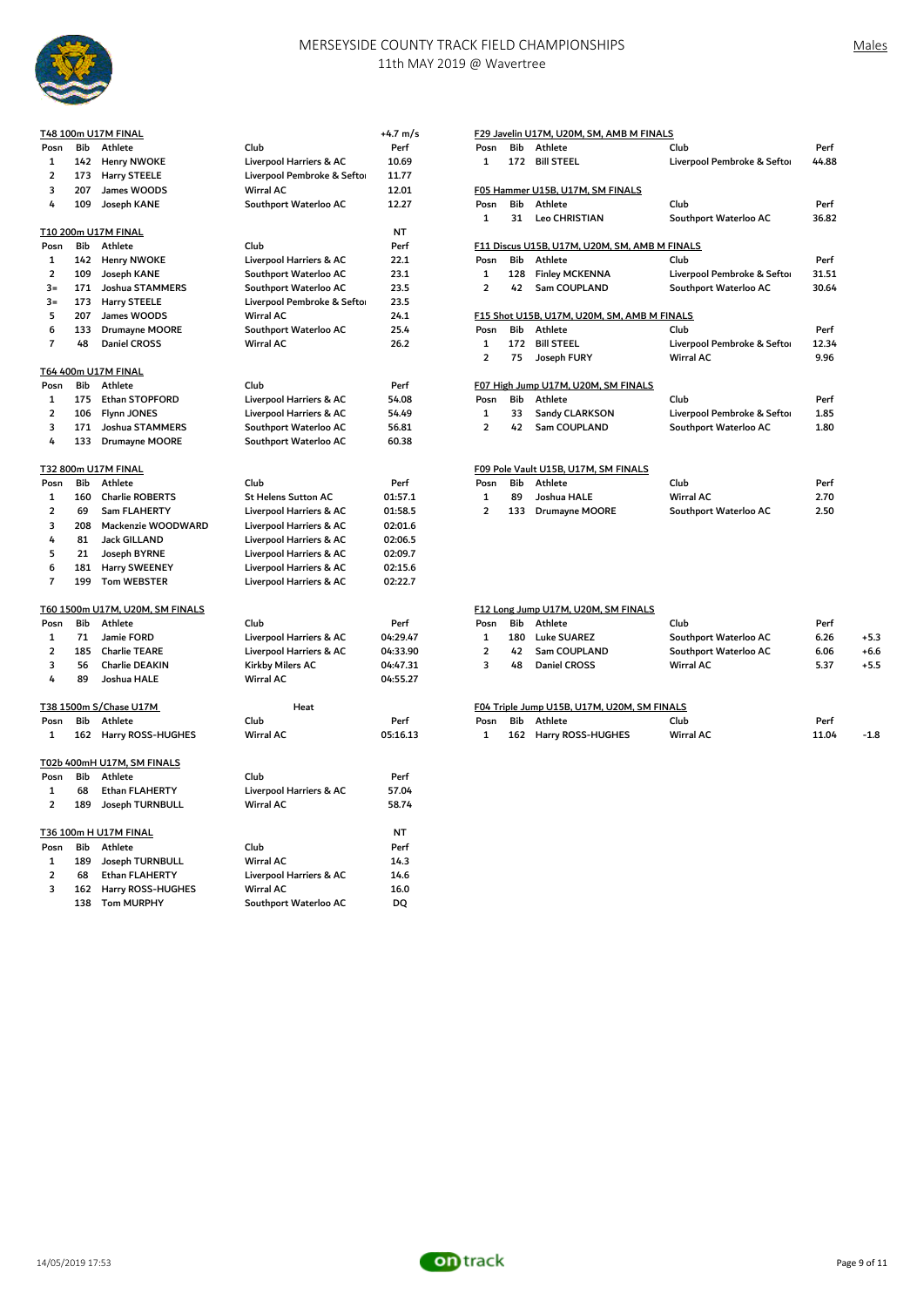

|                         |            | T48 100m U17M FINAL                 |                                                    | +4.7 m/s  |                         |     | F29 Javelin U17M, U20M, SM, AMB M FINALS      |                             |       |
|-------------------------|------------|-------------------------------------|----------------------------------------------------|-----------|-------------------------|-----|-----------------------------------------------|-----------------------------|-------|
| Posn                    | Bib        | Athlete                             | Club                                               | Perf      | Posn                    | Bib | Athlete                                       | Club                        | Perf  |
| 1                       | 142        | <b>Henry NWOKE</b>                  | Liverpool Harriers & AC                            | 10.69     | 1                       | 172 | <b>Bill STEEL</b>                             | Liverpool Pembroke & Seftor | 44.88 |
| 2                       | 173        | <b>Harry STEELE</b>                 | Liverpool Pembroke & Sefto                         | 11.77     |                         |     |                                               |                             |       |
| 3                       | 207        | James WOODS                         | <b>Wirral AC</b>                                   | 12.01     |                         |     | F05 Hammer U15B, U17M, SM FINALS              |                             |       |
| 4                       | 109        | Joseph KANE                         | Southport Waterloo AC                              | 12.27     | Posn                    | Bib | Athlete                                       | Club                        | Perf  |
|                         |            |                                     |                                                    |           | $\mathbf{1}$            | 31  | <b>Leo CHRISTIAN</b>                          | Southport Waterloo AC       | 36.82 |
|                         |            | T10 200m U17M FINAL                 |                                                    | <b>NT</b> |                         |     |                                               |                             |       |
| Posn                    | Bib        | Athlete                             | Club                                               | Perf      |                         |     | F11 Discus U15B, U17M, U20M, SM, AMB M FINALS |                             |       |
| 1                       | 142        | <b>Henry NWOKE</b>                  | Liverpool Harriers & AC                            | 22.1      | Posn                    | Bib | Athlete                                       | Club                        | Perf  |
| $\overline{\mathbf{2}}$ | 109        | Joseph KANE                         | Southport Waterloo AC                              | 23.1      | 1                       | 128 | <b>Finley MCKENNA</b>                         | Liverpool Pembroke & Seftor | 31.51 |
| $3=$                    | 171        | Joshua STAMMERS                     | Southport Waterloo AC                              | 23.5      | $\overline{2}$          | 42  | Sam COUPLAND                                  | Southport Waterloo AC       | 30.64 |
| $3=$                    | 173        | Harry STEELE                        | Liverpool Pembroke & Sefto                         | 23.5      |                         |     |                                               |                             |       |
| 5                       | 207        | James WOODS                         | <b>Wirral AC</b>                                   | 24.1      |                         |     | F15 Shot U15B, U17M, U20M, SM, AMB M FINALS   |                             |       |
| 6                       | 133        | Drumayne MOORE                      | Southport Waterloo AC                              | 25.4      | Posn                    | Bib | Athlete                                       | Club                        | Perf  |
| $\overline{7}$          | 48         | <b>Daniel CROSS</b>                 | <b>Wirral AC</b>                                   | 26.2      | $\mathbf 1$             | 172 | <b>Bill STEEL</b>                             | Liverpool Pembroke & Seftor | 12.34 |
|                         |            |                                     |                                                    |           | $\overline{2}$          | 75  | Joseph FURY                                   | <b>Wirral AC</b>            | 9.96  |
|                         |            | T64 400m U17M FINAL                 |                                                    |           |                         |     |                                               |                             |       |
| Posn                    | Bib        | Athlete                             | Club                                               | Perf      |                         |     | F07 High Jump U17M, U20M, SM FINALS           |                             |       |
| 1                       | 175        | Ethan STOPFORD                      | Liverpool Harriers & AC                            | 54.08     | Posn                    | Bib | Athlete                                       | Club                        | Perf  |
| $\overline{2}$          | 106        | Flynn JONES                         | Liverpool Harriers & AC                            | 54.49     | $\mathbf{1}$            | 33  | Sandy CLARKSON                                | Liverpool Pembroke & Seftor | 1.85  |
| 3                       | 171        | Joshua STAMMERS                     | Southport Waterloo AC                              | 56.81     | $\overline{2}$          | 42  | Sam COUPLAND                                  | Southport Waterloo AC       | 1.80  |
| 4                       | 133        | Drumayne MOORE                      | Southport Waterloo AC                              | 60.38     |                         |     |                                               |                             |       |
|                         |            | T32 800m U17M FINAL                 |                                                    |           |                         |     | F09 Pole Vault U15B, U17M, SM FINALS          |                             |       |
| Posn                    | Bib        | Athlete                             | Club                                               | Perf      | Posn                    | Bib | Athlete                                       | Club                        | Perf  |
| 1                       | 160        | <b>Charlie ROBERTS</b>              | <b>St Helens Sutton AC</b>                         | 01:57.1   | $\mathbf 1$             | 89  | Joshua HALE                                   | <b>Wirral AC</b>            | 2.70  |
| $\overline{2}$          | 69         | Sam FLAHERTY                        | Liverpool Harriers & AC                            | 01:58.5   | $\overline{2}$          | 133 | <b>Drumayne MOORE</b>                         | Southport Waterloo AC       | 2.50  |
| 3                       | 208        | Mackenzie WOODWARD                  | Liverpool Harriers & AC                            | 02:01.6   |                         |     |                                               |                             |       |
| 4                       | 81         | Jack GILLAND                        | Liverpool Harriers & AC                            | 02:06.5   |                         |     |                                               |                             |       |
| 5                       | 21         | Joseph BYRNE                        | Liverpool Harriers & AC                            | 02:09.7   |                         |     |                                               |                             |       |
| 6                       | 181        |                                     |                                                    | 02:15.6   |                         |     |                                               |                             |       |
| $\overline{7}$          | 199        | Harry SWEENEY<br><b>Tom WEBSTER</b> | Liverpool Harriers & AC<br>Liverpool Harriers & AC | 02:22.7   |                         |     |                                               |                             |       |
|                         |            |                                     |                                                    |           |                         |     |                                               |                             |       |
|                         |            | T60 1500m U17M, U20M, SM FINALS     |                                                    |           |                         |     | F12 Long Jump U17M, U20M, SM FINALS           |                             |       |
| Posn                    | <b>Bib</b> | Athlete                             | Club                                               | Perf      | Posn                    | Bib | Athlete                                       | Club                        | Perf  |
| 1                       | 71         | Jamie FORD                          | Liverpool Harriers & AC                            | 04:29.47  | 1                       | 180 | <b>Luke SUAREZ</b>                            | Southport Waterloo AC       | 6.26  |
| $\overline{\mathbf{2}}$ | 185        | <b>Charlie TEARE</b>                | Liverpool Harriers & AC                            | 04:33.90  | $\overline{\mathbf{2}}$ | 42  | Sam COUPLAND                                  | Southport Waterloo AC       | 6.06  |
| 3                       | 56         | Charlie DEAKIN                      | Kirkby Milers AC                                   | 04:47.31  | 3                       | 48  | Daniel CROSS                                  | Wirral AC                   | 5.37  |
| 4                       | 89         | Joshua HALE                         | Wirral AC                                          | 04:55.27  |                         |     |                                               |                             |       |
|                         |            |                                     |                                                    |           |                         |     |                                               |                             |       |
|                         |            | T38 1500m S/Chase U17M              | Heat                                               |           |                         |     | F04 Triple Jump U15B, U17M, U20M, SM FINALS   |                             |       |
| Posn                    | Bib        | Athlete                             | Club                                               | Perf      | Posn                    | Bib | Athlete                                       | Club                        | Perf  |
| 1                       | 162        | Harry ROSS-HUGHES                   | Wirral AC                                          | 05:16.13  | $\mathbf 1$             | 162 | Harry ROSS-HUGHES                             | <b>Wirral AC</b>            | 11.04 |
|                         |            |                                     |                                                    |           |                         |     |                                               |                             |       |
|                         |            | T02b 400mH U17M, SM FINALS          |                                                    |           |                         |     |                                               |                             |       |
| Posn                    | Bib        | Athlete                             | Club                                               | Perf      |                         |     |                                               |                             |       |
| 1                       | 68         | Ethan FLAHERTY                      | Liverpool Harriers & AC                            | 57.04     |                         |     |                                               |                             |       |
| $\overline{2}$          | 189        | Joseph TURNBULL                     | <b>Wirral AC</b>                                   | 58.74     |                         |     |                                               |                             |       |
|                         |            | T36 100m H U17M FINAL               |                                                    | <b>NT</b> |                         |     |                                               |                             |       |
| Posn                    | Bib        | Athlete                             | Club                                               | Perf      |                         |     |                                               |                             |       |
| 1                       | 189        | Joseph TURNBULL                     | <b>Wirral AC</b>                                   | 14.3      |                         |     |                                               |                             |       |
| $\overline{\mathbf{2}}$ | 68         | Ethan FLAHERTY                      | Liverpool Harriers & AC                            | 14.6      |                         |     |                                               |                             |       |
| 3                       | 162        | Harry ROSS-HUGHES                   | <b>Wirral AC</b>                                   | 16.0      |                         |     |                                               |                             |       |
|                         | 138        | <b>Tom MURPHY</b>                   | Southport Waterloo AC                              | DQ        |                         |     |                                               |                             |       |
|                         |            |                                     |                                                    |           |                         |     |                                               |                             |       |

|                | F29 Javelin U17M, U20M, SM, AMB M FINALS |                                                          |                             |       |  |  |  |  |  |  |  |
|----------------|------------------------------------------|----------------------------------------------------------|-----------------------------|-------|--|--|--|--|--|--|--|
| Posn           | <b>Bib</b>                               | Athlete                                                  | Club                        | Perf  |  |  |  |  |  |  |  |
| $\mathbf{1}$   | 172                                      | <b>Bill STEEL</b>                                        | Liverpool Pembroke & Seftor | 44.88 |  |  |  |  |  |  |  |
|                |                                          |                                                          |                             |       |  |  |  |  |  |  |  |
|                |                                          | F05 Hammer U15B, U17M, SM FINALS                         |                             |       |  |  |  |  |  |  |  |
| Posn           | <b>Rih</b>                               | <b>Athlete</b>                                           | Club                        | Perf  |  |  |  |  |  |  |  |
| 1              | 31                                       | <b>Leo CHRISTIAN</b>                                     | Southport Waterloo AC       | 36.82 |  |  |  |  |  |  |  |
|                |                                          |                                                          |                             |       |  |  |  |  |  |  |  |
| Posn           | <b>Bib</b>                               | F11 Discus U15B, U17M, U20M, SM, AMB M FINALS<br>Athlete | Club                        | Perf  |  |  |  |  |  |  |  |
|                |                                          |                                                          |                             |       |  |  |  |  |  |  |  |
| $\mathbf{1}$   | 128                                      | <b>Finley MCKENNA</b>                                    | Liverpool Pembroke & Seftor | 31.51 |  |  |  |  |  |  |  |
| $\overline{2}$ | 42                                       | Sam COUPLAND                                             | Southport Waterloo AC       | 30.64 |  |  |  |  |  |  |  |
|                |                                          | F15 Shot U15B, U17M, U20M, SM, AMB M FINALS              |                             |       |  |  |  |  |  |  |  |
| Posn           | Club                                     | Perf                                                     |                             |       |  |  |  |  |  |  |  |
| 1              | 172                                      | <b>Bill STEEL</b>                                        | Liverpool Pembroke & Seftor | 12.34 |  |  |  |  |  |  |  |
| $\mathfrak{p}$ | 75                                       | Joseph FURY                                              | Wirral AC                   | 9.96  |  |  |  |  |  |  |  |
|                |                                          |                                                          |                             |       |  |  |  |  |  |  |  |
|                |                                          | F07 High Jump U17M, U20M, SM FINALS                      |                             |       |  |  |  |  |  |  |  |
| Posn           | <b>Bib</b>                               | Athlete                                                  | Club                        | Perf  |  |  |  |  |  |  |  |
| $\mathbf{1}$   | 33                                       | Sandy CLARKSON                                           | Liverpool Pembroke & Seftor | 1.85  |  |  |  |  |  |  |  |
| $\overline{2}$ | 42                                       | Sam COUPLAND                                             | Southport Waterloo AC       | 1.80  |  |  |  |  |  |  |  |
|                |                                          |                                                          |                             |       |  |  |  |  |  |  |  |
|                |                                          | F09 Pole Vault U15B, U17M, SM FINALS                     |                             |       |  |  |  |  |  |  |  |
| Posn           | <b>Bib</b>                               | <b>Athlete</b>                                           | Club                        | Perf  |  |  |  |  |  |  |  |
| 1              | 89                                       | Joshua HALE                                              | Wirral AC                   | 2.70  |  |  |  |  |  |  |  |
| $\overline{2}$ | 133                                      | Drumayne MOORE                                           | Southport Waterloo AC       | 2.50  |  |  |  |  |  |  |  |
|                |                                          |                                                          |                             |       |  |  |  |  |  |  |  |
|                |                                          |                                                          |                             |       |  |  |  |  |  |  |  |

| 60 1500m U17M, U20M, SM FINALS |                       |                         |          |      |     | F12 Long Jump U17M, U20M, SM FINALS |                       |      |        |  |  |  |
|--------------------------------|-----------------------|-------------------------|----------|------|-----|-------------------------------------|-----------------------|------|--------|--|--|--|
| osn Bib                        | Athlete               | Club                    | Perf     | Posn | Bib | Athlete                             | Club                  | Perf |        |  |  |  |
|                                | Jamie FORD            | Liverpool Harriers & AC | 04:29.47 |      | 180 | <b>Luke SUAREZ</b>                  | Southport Waterloo AC | 6.26 | $+5.3$ |  |  |  |
| 185                            | <b>Charlie TEARE</b>  | Liverpool Harriers & AC | 04:33.90 |      | 42  | Sam COUPLAND                        | Southport Waterloo AC | 6.06 | $+6.6$ |  |  |  |
| 56                             | <b>Charlie DEAKIN</b> | Kirkby Milers AC        | 04:47.31 |      | 48  | Daniel CROSS                        | <b>Wirral AC</b>      | 5.37 | $+5.5$ |  |  |  |
| 89                             | Joshua HALE           | Wirral AC               | 04:55.27 |      |     |                                     |                       |      |        |  |  |  |

| F04 Triple Jump U15B. U17M. U20M. SM FINALS |  |  |  |
|---------------------------------------------|--|--|--|
|                                             |  |  |  |

| osn Bib | Athlete               | Club             | Perf     | Posn | Bib | Athlete               | Club             | Pen   |        |
|---------|-----------------------|------------------|----------|------|-----|-----------------------|------------------|-------|--------|
|         | 162 Harry ROSS-HUGHES | <b>Wirral AC</b> | 05:16.13 |      |     | 162 Harry ROSS-HUGHES | <b>Wirral AC</b> | 11.04 | $-1.8$ |

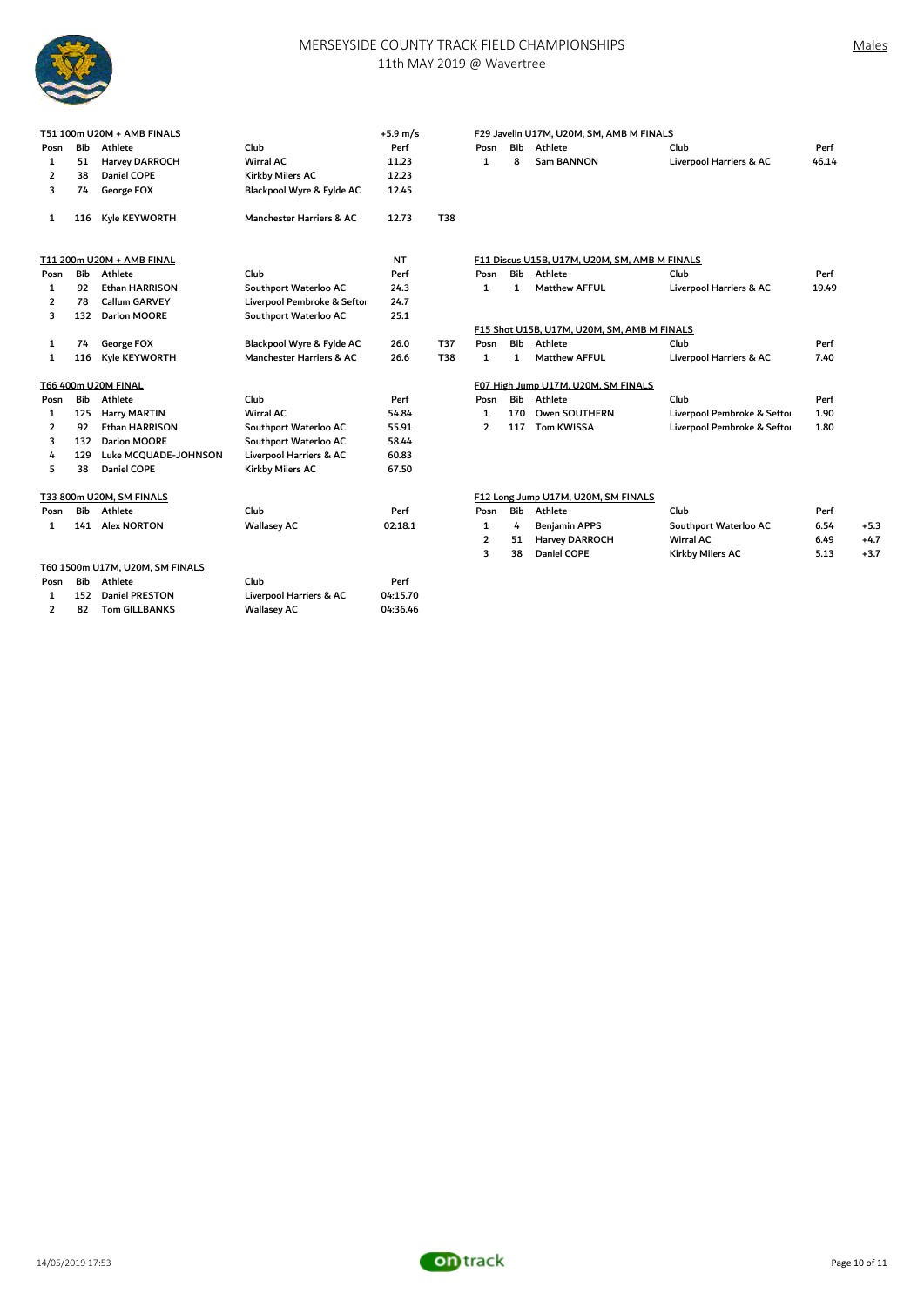

## MERSEYSIDE COUNTY TRACK FIELD CHAMPIONSHIPS 11th MAY 2019 @ Wavertree

1 74 George FOX Blackpool Wyre & Fylde AC 26.0 T37 Posn Bib Athlete Club Perf

| T51 100m U20M + AMB FINALS |     |                       | $+5.9 \text{ m/s}$         |       | F29 Javelin U17M, U20M, SM, AMB M FINALS |      |     |                                               |                         |       |  |
|----------------------------|-----|-----------------------|----------------------------|-------|------------------------------------------|------|-----|-----------------------------------------------|-------------------------|-------|--|
| Posn                       | Bib | Athlete               | Club                       | Perf  |                                          | Posn | Bib | Athlete                                       | Club                    | Perf  |  |
|                            | 51  | <b>Harvey DARROCH</b> | Wirral AC                  | 11.23 |                                          |      | 8   | Sam BANNON                                    | Liverpool Harriers & AC | 46.14 |  |
|                            | 38  | Daniel COPE           | Kirkby Milers AC           | 12.23 |                                          |      |     |                                               |                         |       |  |
| 3                          | 74  | George FOX            | Blackpool Wyre & Fylde AC  | 12.45 |                                          |      |     |                                               |                         |       |  |
|                            | 116 | Kyle KEYWORTH         | Manchester Harriers & AC   | 12.73 | T38                                      |      |     |                                               |                         |       |  |
| T11 200m U20M + AMB FINAL  |     |                       |                            | NT    |                                          |      |     | F11 Discus U15B, U17M, U20M, SM, AMB M FINALS |                         |       |  |
| Posn                       | Bib | Athlete               | Club                       | Perf  |                                          | Posn | Bib | Athlete                                       | Club                    | Perf  |  |
|                            | 92  | <b>Ethan HARRISON</b> | Southport Waterloo AC      | 24.3  |                                          |      |     | <b>Matthew AFFUL</b>                          | Liverpool Harriers & AC | 19.49 |  |
|                            | 78  | <b>Callum GARVEY</b>  | Liverpool Pembroke & Sefto | 24.7  |                                          |      |     |                                               |                         |       |  |

1 1 Matthew AFFUL

|      |            | T66 400m U20M FINAL             |                         |          |                |     | F07 High Jump U17M, U20M, SM FINALS |                             |      |
|------|------------|---------------------------------|-------------------------|----------|----------------|-----|-------------------------------------|-----------------------------|------|
| Posn | <b>Bib</b> | Athlete                         | Club                    | Perf     | Posn           | Bib | Athlete                             | Club                        | Per  |
|      | 125        | <b>Harry MARTIN</b>             | <b>Wirral AC</b>        | 54.84    |                | 170 | Owen SOUTHERN                       | Liverpool Pembroke & Seftor | 1.90 |
|      | 92         | Ethan HARRISON                  | Southport Waterloo AC   | 55.91    | $\overline{2}$ | 117 | <b>Tom KWISSA</b>                   | Liverpool Pembroke & Seftor | 1.80 |
| 3    | 132        | Darion MOORE                    | Southport Waterloo AC   | 58.44    |                |     |                                     |                             |      |
| 4    | 129        | Luke MCQUADE-JOHNSON            | Liverpool Harriers & AC | 60.83    |                |     |                                     |                             |      |
| 5.   | 38         | Daniel COPE                     | Kirkby Milers AC        | 67.50    |                |     |                                     |                             |      |
|      |            | T33 800m U20M, SM FINALS        |                         |          |                |     | F12 Long Jump U17M, U20M, SM FINALS |                             |      |
| Posn | Bib        | Athlete                         | Club                    | Perf     | Posn           | Bib | Athlete                             | Club                        | Per  |
|      | 141        | <b>Alex NORTON</b>              | <b>Wallasey AC</b>      | 02:18.1  | 1              | 4   | <b>Benjamin APPS</b>                | Southport Waterloo AC       | 6.54 |
|      |            |                                 |                         |          | $\overline{2}$ | 51  | <b>Harvey DARROCH</b>               | Wirral AC                   | 6.49 |
|      |            |                                 |                         |          | 3              | 38  | <b>Daniel COPE</b>                  | Kirkby Milers AC            | 5.13 |
|      |            | T60 1500m U17M, U20M, SM FINALS |                         |          |                |     |                                     |                             |      |
| Posn | <b>Bib</b> | Athlete                         | Club                    | Perf     |                |     |                                     |                             |      |
|      | 152        | Daniel PRESTON                  | Liverpool Harriers & AC | 04:15.70 |                |     |                                     |                             |      |
|      | 82         | <b>Tom GILLBANKS</b>            | <b>Wallasey AC</b>      | 04:36.46 |                |     |                                     |                             |      |

2 78 Callum GARVEY Liverpool Pembroke & Sefton 24.7<br>2 132 Darion MOORE Southport Waterloo AC 25.1

southport Waterloo AC

F15 Shot U15B, U17M, U20M, SM, AMB M FINALS

| osn Bib | Athlete            | Club               | Perf    | Posn | Bib | Athlete               | Club                  | Perf |        |
|---------|--------------------|--------------------|---------|------|-----|-----------------------|-----------------------|------|--------|
| 141     | <b>Alex NORTON</b> | <b>Wallasey AC</b> | 02:18.1 |      |     | <b>Beniamin APPS</b>  | Southport Waterloo AC | 6.54 | $+5.3$ |
|         |                    |                    |         |      |     | <b>Harvey DARROCH</b> | <b>Wirral AC</b>      | 6.49 | $+4.7$ |
|         |                    |                    |         |      | 38  | Daniel COPE           | Kirkby Milers AC      | 5.13 | $+3.7$ |